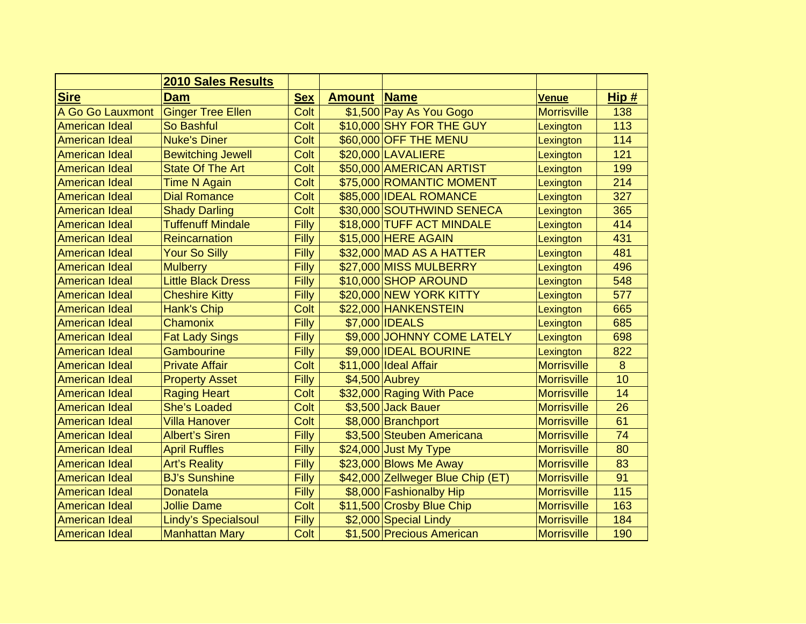|                       | <b>2010 Sales Results</b> |            |               |                                   |                    |      |
|-----------------------|---------------------------|------------|---------------|-----------------------------------|--------------------|------|
| <b>Sire</b>           | Dam                       | <u>Sex</u> | <b>Amount</b> | <b>Name</b>                       | <b>Venue</b>       | Hip# |
| A Go Go Lauxmont      | <b>Ginger Tree Ellen</b>  | Colt       |               | \$1,500 Pay As You Gogo           | <b>Morrisville</b> | 138  |
| <b>American Ideal</b> | So Bashful                | Colt       |               | \$10,000 SHY FOR THE GUY          | Lexington          | 113  |
| <b>American Ideal</b> | <b>Nuke's Diner</b>       | Colt       |               | \$60,000 OFF THE MENU             | Lexington          | 114  |
| <b>American Ideal</b> | <b>Bewitching Jewell</b>  | Colt       |               | \$20,000 LAVALIERE                | Lexington          | 121  |
| <b>American Ideal</b> | <b>State Of The Art</b>   | Colt       |               | \$50,000 AMERICAN ARTIST          | Lexington          | 199  |
| American Ideal        | <b>Time N Again</b>       | Colt       |               | \$75,000 ROMANTIC MOMENT          | Lexington          | 214  |
| <b>American Ideal</b> | <b>Dial Romance</b>       | Colt       |               | \$85,000 IDEAL ROMANCE            | Lexington          | 327  |
| <b>American Ideal</b> | <b>Shady Darling</b>      | Colt       |               | \$30,000 SOUTHWIND SENECA         | Lexington          | 365  |
| <b>American Ideal</b> | <b>Tuffenuff Mindale</b>  | Filly      |               | \$18,000 TUFF ACT MINDALE         | Lexington          | 414  |
| American Ideal        | <b>Reincarnation</b>      | Filly      |               | \$15,000 HERE AGAIN               | Lexington          | 431  |
| <b>American Ideal</b> | <b>Your So Silly</b>      | Filly      |               | \$32,000 MAD AS A HATTER          | Lexington          | 481  |
| American Ideal        | <b>Mulberry</b>           | Filly      |               | \$27,000 MISS MULBERRY            | Lexington          | 496  |
| <b>American Ideal</b> | <b>Little Black Dress</b> | Filly      |               | \$10,000 SHOP AROUND              | Lexington          | 548  |
| <b>American Ideal</b> | <b>Cheshire Kitty</b>     | Filly      |               | \$20,000 NEW YORK KITTY           | Lexington          | 577  |
| <b>American Ideal</b> | Hank's Chip               | Colt       |               | \$22,000 HANKENSTEIN              | Lexington          | 665  |
| <b>American Ideal</b> | Chamonix                  | Filly      |               | \$7,000 IDEALS                    | Lexington          | 685  |
| <b>American Ideal</b> | <b>Fat Lady Sings</b>     | Filly      |               | \$9,000 JOHNNY COME LATELY        | Lexington          | 698  |
| <b>American Ideal</b> | <b>Gambourine</b>         | Filly      |               | \$9,000 IDEAL BOURINE             | Lexington          | 822  |
| <b>American Ideal</b> | <b>Private Affair</b>     | Colt       |               | \$11,000 Ideal Affair             | <b>Morrisville</b> | 8    |
| <b>American Ideal</b> | <b>Property Asset</b>     | Filly      |               | $$4,500$ Aubrey                   | <b>Morrisville</b> | 10   |
| <b>American Ideal</b> | <b>Raging Heart</b>       | Colt       |               | \$32,000 Raging With Pace         | <b>Morrisville</b> | 14   |
| <b>American Ideal</b> | <b>She's Loaded</b>       | Colt       |               | \$3,500 Jack Bauer                | <b>Morrisville</b> | 26   |
| <b>American Ideal</b> | <b>Villa Hanover</b>      | Colt       |               | \$8,000 Branchport                | <b>Morrisville</b> | 61   |
| <b>American Ideal</b> | <b>Albert's Siren</b>     | Filly      |               | \$3,500 Steuben Americana         | <b>Morrisville</b> | 74   |
| <b>American Ideal</b> | <b>April Ruffles</b>      | Filly      |               | \$24,000 Just My Type             | <b>Morrisville</b> | 80   |
| <b>American Ideal</b> | <b>Art's Reality</b>      | Filly      |               | $$23,000$ Blows Me Away           | <b>Morrisville</b> | 83   |
| <b>American Ideal</b> | <b>BJ's Sunshine</b>      | Filly      |               | \$42,000 Zellweger Blue Chip (ET) | <b>Morrisville</b> | 91   |
| <b>American Ideal</b> | <b>Donatela</b>           | Filly      |               | \$8,000 Fashionalby Hip           | <b>Morrisville</b> | 115  |
| <b>American Ideal</b> | <b>Jollie Dame</b>        | Colt       |               | \$11,500 Crosby Blue Chip         | <b>Morrisville</b> | 163  |
| <b>American Ideal</b> | Lindy's Specialsoul       | Filly      |               | \$2,000 Special Lindy             | <b>Morrisville</b> | 184  |
| American Ideal        | <b>Manhattan Mary</b>     | Colt       |               | \$1,500 Precious American         | <b>Morrisville</b> | 190  |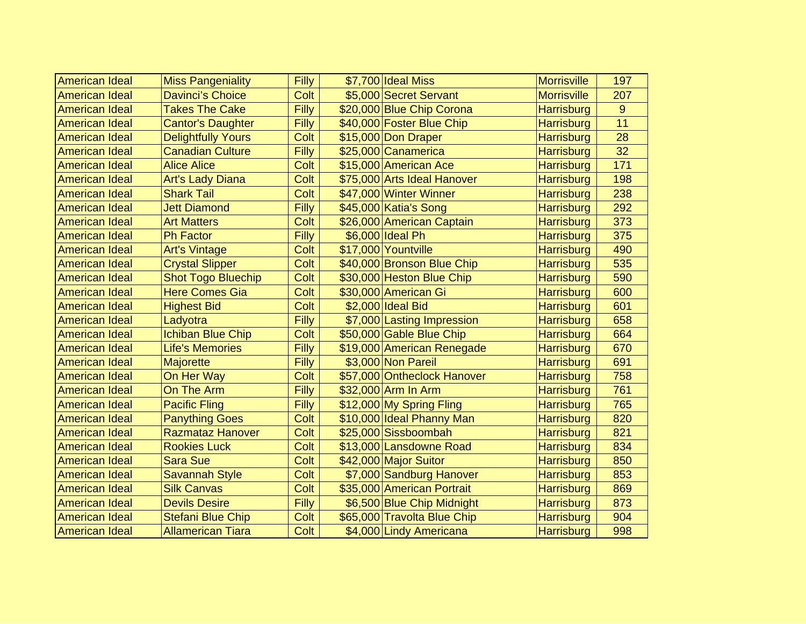| <b>American Ideal</b> | <b>Miss Pangeniality</b>  | <b>Filly</b> | \$7,700 Ideal Miss          | <b>Morrisville</b> | 197 |
|-----------------------|---------------------------|--------------|-----------------------------|--------------------|-----|
| <b>American Ideal</b> | <b>Davinci's Choice</b>   | Colt         | \$5,000 Secret Servant      | <b>Morrisville</b> | 207 |
| <b>American Ideal</b> | <b>Takes The Cake</b>     | Filly        | \$20,000 Blue Chip Corona   |                    | 9   |
|                       |                           | Filly        |                             | <b>Harrisburg</b>  | 11  |
| <b>American Ideal</b> | <b>Cantor's Daughter</b>  |              | \$40,000 Foster Blue Chip   | <b>Harrisburg</b>  |     |
| <b>American Ideal</b> | <b>Delightfully Yours</b> | Colt         | \$15,000 Don Draper         | <b>Harrisburg</b>  | 28  |
| <b>American Ideal</b> | <b>Canadian Culture</b>   | Filly        | \$25,000 Canamerica         | <b>Harrisburg</b>  | 32  |
| American Ideal        | <b>Alice Alice</b>        | Colt         | \$15,000 American Ace       | <b>Harrisburg</b>  | 171 |
| <b>American Ideal</b> | <b>Art's Lady Diana</b>   | Colt         | \$75,000 Arts Ideal Hanover | <b>Harrisburg</b>  | 198 |
| American Ideal        | <b>Shark Tail</b>         | Colt         | \$47,000 Winter Winner      | <b>Harrisburg</b>  | 238 |
| <b>American Ideal</b> | <b>Jett Diamond</b>       | Filly        | \$45,000 Katia's Song       | <b>Harrisburg</b>  | 292 |
| <b>American Ideal</b> | <b>Art Matters</b>        | Colt         | \$26,000 American Captain   | <b>Harrisburg</b>  | 373 |
| <b>American Ideal</b> | <b>Ph Factor</b>          | Filly        | \$6,000 Ideal Ph            | <b>Harrisburg</b>  | 375 |
| <b>American Ideal</b> | <b>Art's Vintage</b>      | Colt         | \$17,000 Yountville         | <b>Harrisburg</b>  | 490 |
| <b>American Ideal</b> | <b>Crystal Slipper</b>    | Colt         | \$40,000 Bronson Blue Chip  | <b>Harrisburg</b>  | 535 |
| <b>American Ideal</b> | <b>Shot Togo Bluechip</b> | Colt         | \$30,000 Heston Blue Chip   | <b>Harrisburg</b>  | 590 |
| <b>American Ideal</b> | <b>Here Comes Gia</b>     | Colt         | \$30,000 American Gi        | Harrisburg         | 600 |
| <b>American Ideal</b> | <b>Highest Bid</b>        | Colt         | \$2,000 Ideal Bid           | <b>Harrisburg</b>  | 601 |
| <b>American Ideal</b> | Ladyotra                  | Filly        | \$7,000 Lasting Impression  | <b>Harrisburg</b>  | 658 |
| American Ideal        | <b>Ichiban Blue Chip</b>  | Colt         | \$50,000 Gable Blue Chip    | <b>Harrisburg</b>  | 664 |
| American Ideal        | <b>Life's Memories</b>    | Filly        | \$19,000 American Renegade  | <b>Harrisburg</b>  | 670 |
| <b>American Ideal</b> | <b>Majorette</b>          | Filly        | \$3,000 Non Pareil          | <b>Harrisburg</b>  | 691 |
| American Ideal        | On Her Way                | Colt         | \$57,000 Ontheclock Hanover | <b>Harrisburg</b>  | 758 |
| <b>American Ideal</b> | On The Arm                | Filly        | \$32,000 Arm In Arm         | <b>Harrisburg</b>  | 761 |
| <b>American Ideal</b> | <b>Pacific Fling</b>      | Filly        | \$12,000 My Spring Fling    | <b>Harrisburg</b>  | 765 |
| <b>American Ideal</b> | <b>Panything Goes</b>     | Colt         | \$10,000 Ideal Phanny Man   | <b>Harrisburg</b>  | 820 |
| <b>American Ideal</b> | <b>Razmataz Hanover</b>   | Colt         | \$25,000 Sissboombah        | <b>Harrisburg</b>  | 821 |
| <b>American Ideal</b> | <b>Rookies Luck</b>       | Colt         | \$13,000 Lansdowne Road     | <b>Harrisburg</b>  | 834 |
| <b>American Ideal</b> | <b>Sara Sue</b>           | Colt         | \$42,000 Major Suitor       | <b>Harrisburg</b>  | 850 |
| <b>American Ideal</b> | <b>Savannah Style</b>     | Colt         | \$7,000 Sandburg Hanover    | <b>Harrisburg</b>  | 853 |
| <b>American Ideal</b> | <b>Silk Canvas</b>        | Colt         | \$35,000 American Portrait  | <b>Harrisburg</b>  | 869 |
| <b>American Ideal</b> | <b>Devils Desire</b>      | Filly        | \$6,500 Blue Chip Midnight  | <b>Harrisburg</b>  | 873 |
| <b>American Ideal</b> | <b>Stefani Blue Chip</b>  | Colt         | \$65,000 Travolta Blue Chip | <b>Harrisburg</b>  | 904 |
| American Ideal        | <b>Allamerican Tiara</b>  | Colt         | \$4,000 Lindy Americana     | <b>Harrisburg</b>  | 998 |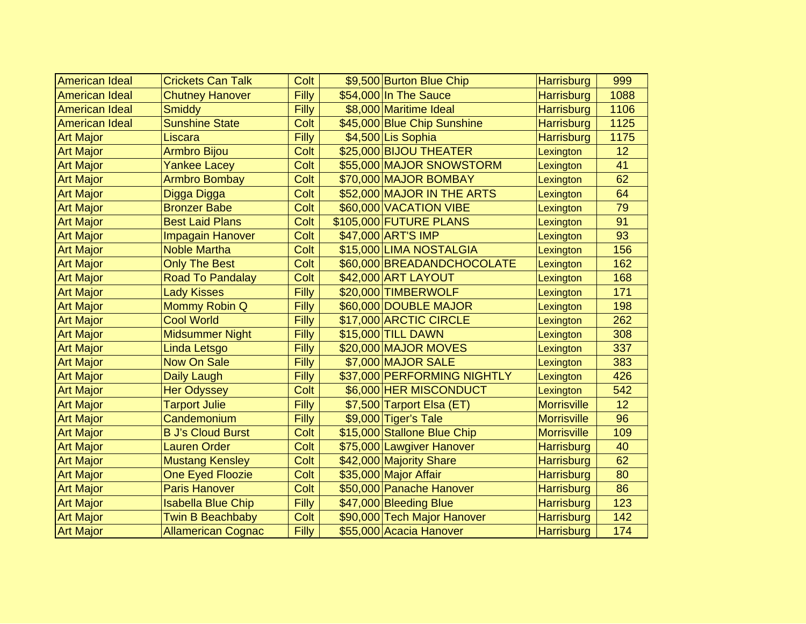| <b>American Ideal</b> | <b>Crickets Can Talk</b>  | Colt         | \$9,500 Burton Blue Chip    | <b>Harrisburg</b>  | 999  |
|-----------------------|---------------------------|--------------|-----------------------------|--------------------|------|
| <b>American Ideal</b> | <b>Chutney Hanover</b>    | <b>Filly</b> | \$54,000 In The Sauce       | <b>Harrisburg</b>  | 1088 |
| <b>American Ideal</b> | <b>Smiddy</b>             | Filly        | \$8,000 Maritime Ideal      | <b>Harrisburg</b>  | 1106 |
| <b>American Ideal</b> | <b>Sunshine State</b>     | Colt         | \$45,000 Blue Chip Sunshine | <b>Harrisburg</b>  | 1125 |
| <b>Art Major</b>      | Liscara                   | Filly        | \$4,500 Lis Sophia          | <b>Harrisburg</b>  | 1175 |
| <b>Art Major</b>      | <b>Armbro Bijou</b>       | Colt         | \$25,000 BIJOU THEATER      | Lexington          | 12   |
| <b>Art Major</b>      | <b>Yankee Lacey</b>       | Colt         | \$55,000 MAJOR SNOWSTORM    | Lexington          | 41   |
| <b>Art Major</b>      | <b>Armbro Bombay</b>      | Colt         | \$70,000 MAJOR BOMBAY       | Lexington          | 62   |
| <b>Art Major</b>      | Digga Digga               | Colt         | \$52,000 MAJOR IN THE ARTS  | Lexington          | 64   |
| <b>Art Major</b>      | <b>Bronzer Babe</b>       | Colt         | \$60,000 VACATION VIBE      | Lexington          | 79   |
| <b>Art Major</b>      | <b>Best Laid Plans</b>    | Colt         | \$105,000 FUTURE PLANS      | Lexington          | 91   |
| <b>Art Major</b>      | <b>Impagain Hanover</b>   | Colt         | \$47,000 ART'S IMP          | Lexington          | 93   |
| <b>Art Major</b>      | <b>Noble Martha</b>       | Colt         | \$15,000 LIMA NOSTALGIA     | Lexington          | 156  |
| <b>Art Major</b>      | <b>Only The Best</b>      | Colt         | \$60,000 BREADANDCHOCOLATE  | Lexington          | 162  |
| <b>Art Major</b>      | <b>Road To Pandalay</b>   | Colt         | \$42,000 ART LAYOUT         | Lexington          | 168  |
| <b>Art Major</b>      | <b>Lady Kisses</b>        | Filly        | \$20,000 TIMBERWOLF         | Lexington          | 171  |
| <b>Art Major</b>      | Mommy Robin Q             | Filly        | \$60,000 DOUBLE MAJOR       | Lexington          | 198  |
| <b>Art Major</b>      | <b>Cool World</b>         | Filly        | \$17,000 ARCTIC CIRCLE      | Lexington          | 262  |
| <b>Art Major</b>      | Midsummer Night           | Filly        | \$15,000 TILL DAWN          | Lexington          | 308  |
| <b>Art Major</b>      | Linda Letsgo              | Filly        | \$20,000 MAJOR MOVES        | Lexington          | 337  |
| <b>Art Major</b>      | <b>Now On Sale</b>        | Filly        | \$7,000 MAJOR SALE          | Lexington          | 383  |
| <b>Art Major</b>      | <b>Daily Laugh</b>        | Filly        | \$37,000 PERFORMING NIGHTLY | Lexington          | 426  |
| <b>Art Major</b>      | <b>Her Odyssey</b>        | Colt         | \$6,000 HER MISCONDUCT      | Lexington          | 542  |
| <b>Art Major</b>      | <b>Tarport Julie</b>      | Filly        | \$7,500 Tarport Elsa (ET)   | <b>Morrisville</b> | 12   |
| <b>Art Major</b>      | Candemonium               | Filly        | \$9,000 Tiger's Tale        | <b>Morrisville</b> | 96   |
| <b>Art Major</b>      | <b>B J's Cloud Burst</b>  | Colt         | \$15,000 Stallone Blue Chip | <b>Morrisville</b> | 109  |
| <b>Art Major</b>      | <b>Lauren Order</b>       | Colt         | \$75,000 Lawgiver Hanover   | <b>Harrisburg</b>  | 40   |
| <b>Art Major</b>      | <b>Mustang Kensley</b>    | Colt         | \$42,000 Majority Share     | <b>Harrisburg</b>  | 62   |
| <b>Art Major</b>      | <b>One Eyed Floozie</b>   | Colt         | \$35,000 Major Affair       | <b>Harrisburg</b>  | 80   |
| <b>Art Major</b>      | <b>Paris Hanover</b>      | Colt         | \$50,000 Panache Hanover    | <b>Harrisburg</b>  | 86   |
| <b>Art Major</b>      | <b>Isabella Blue Chip</b> | Filly        | \$47,000 Bleeding Blue      | <b>Harrisburg</b>  | 123  |
| <b>Art Major</b>      | <b>Twin B Beachbaby</b>   | Colt         | \$90,000 Tech Major Hanover | <b>Harrisburg</b>  | 142  |
| <b>Art Major</b>      | <b>Allamerican Cognac</b> | Filly        | \$55,000 Acacia Hanover     | <b>Harrisburg</b>  | 174  |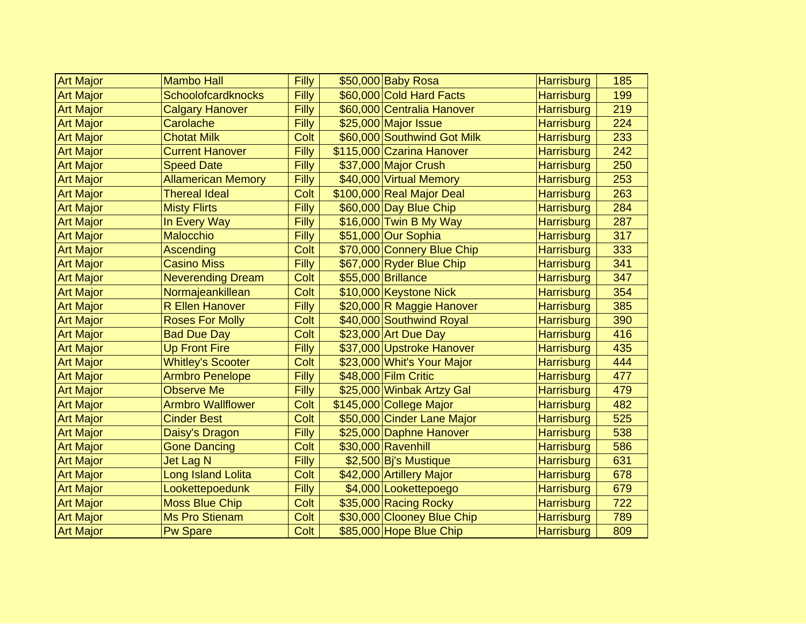| <b>Art Major</b> | <b>Mambo Hall</b>         | Filly | \$50,000 Baby Rosa          | <b>Harrisburg</b> | 185 |
|------------------|---------------------------|-------|-----------------------------|-------------------|-----|
| <b>Art Major</b> | Schoolofcardknocks        | Filly | \$60,000 Cold Hard Facts    | <b>Harrisburg</b> | 199 |
| <b>Art Major</b> | <b>Calgary Hanover</b>    | Filly | \$60,000 Centralia Hanover  | <b>Harrisburg</b> | 219 |
| <b>Art Major</b> | Carolache                 | Filly | \$25,000 Major Issue        | <b>Harrisburg</b> | 224 |
| <b>Art Major</b> | <b>Chotat Milk</b>        | Colt  | \$60,000 Southwind Got Milk | Harrisburg        | 233 |
| <b>Art Major</b> | <b>Current Hanover</b>    | Filly | \$115,000 Czarina Hanover   | <b>Harrisburg</b> | 242 |
| <b>Art Major</b> | <b>Speed Date</b>         | Filly | \$37,000 Major Crush        | <b>Harrisburg</b> | 250 |
| <b>Art Major</b> | <b>Allamerican Memory</b> | Filly | \$40,000 Virtual Memory     | <b>Harrisburg</b> | 253 |
| <b>Art Major</b> | <b>Thereal Ideal</b>      | Colt  | \$100,000 Real Major Deal   | <b>Harrisburg</b> | 263 |
| <b>Art Major</b> | <b>Misty Flirts</b>       | Filly | \$60,000 Day Blue Chip      | <b>Harrisburg</b> | 284 |
| <b>Art Major</b> | In Every Way              | Filly | \$16,000 Twin B My Way      | <b>Harrisburg</b> | 287 |
| <b>Art Major</b> | <b>Malocchio</b>          | Filly | \$51,000 Our Sophia         | <b>Harrisburg</b> | 317 |
| <b>Art Major</b> | Ascending                 | Colt  | \$70,000 Connery Blue Chip  | <b>Harrisburg</b> | 333 |
| <b>Art Major</b> | <b>Casino Miss</b>        | Filly | \$67,000 Ryder Blue Chip    | <b>Harrisburg</b> | 341 |
| <b>Art Major</b> | <b>Neverending Dream</b>  | Colt  | \$55,000 Brillance          | <b>Harrisburg</b> | 347 |
| <b>Art Major</b> | Normajeankillean          | Colt  | \$10,000 Keystone Nick      | <b>Harrisburg</b> | 354 |
| <b>Art Major</b> | <b>R Ellen Hanover</b>    | Filly | \$20,000 R Maggie Hanover   | <b>Harrisburg</b> | 385 |
| <b>Art Major</b> | <b>Roses For Molly</b>    | Colt  | \$40,000 Southwind Royal    | <b>Harrisburg</b> | 390 |
| <b>Art Major</b> | <b>Bad Due Day</b>        | Colt  | \$23,000 Art Due Day        | <b>Harrisburg</b> | 416 |
| <b>Art Major</b> | <b>Up Front Fire</b>      | Filly | \$37,000 Upstroke Hanover   | <b>Harrisburg</b> | 435 |
| <b>Art Major</b> | <b>Whitley's Scooter</b>  | Colt  | \$23,000 Whit's Your Major  | <b>Harrisburg</b> | 444 |
| <b>Art Major</b> | <b>Armbro Penelope</b>    | Filly | \$48,000 Film Critic        | <b>Harrisburg</b> | 477 |
| <b>Art Major</b> | <b>Observe Me</b>         | Filly | \$25,000 Winbak Artzy Gal   | <b>Harrisburg</b> | 479 |
| <b>Art Major</b> | <b>Armbro Wallflower</b>  | Colt  | \$145,000 College Major     | <b>Harrisburg</b> | 482 |
| <b>Art Major</b> | <b>Cinder Best</b>        | Colt  | \$50,000 Cinder Lane Major  | <b>Harrisburg</b> | 525 |
| <b>Art Major</b> | Daisy's Dragon            | Filly | \$25,000 Daphne Hanover     | <b>Harrisburg</b> | 538 |
| <b>Art Major</b> | <b>Gone Dancing</b>       | Colt  | \$30,000 Ravenhill          | <b>Harrisburg</b> | 586 |
| <b>Art Major</b> | <b>Jet Lag N</b>          | Filly | \$2,500 Bj's Mustique       | <b>Harrisburg</b> | 631 |
| <b>Art Major</b> | Long Island Lolita        | Colt  | \$42,000 Artillery Major    | <b>Harrisburg</b> | 678 |
| <b>Art Major</b> | Lookettepoedunk           | Filly | \$4,000 Lookettepoego       | <b>Harrisburg</b> | 679 |
| <b>Art Major</b> | <b>Moss Blue Chip</b>     | Colt  | \$35,000 Racing Rocky       | <b>Harrisburg</b> | 722 |
| <b>Art Major</b> | <b>Ms Pro Stienam</b>     | Colt  | \$30,000 Clooney Blue Chip  | <b>Harrisburg</b> | 789 |
| <b>Art Major</b> | <b>Pw Spare</b>           | Colt  | \$85,000 Hope Blue Chip     | <b>Harrisburg</b> | 809 |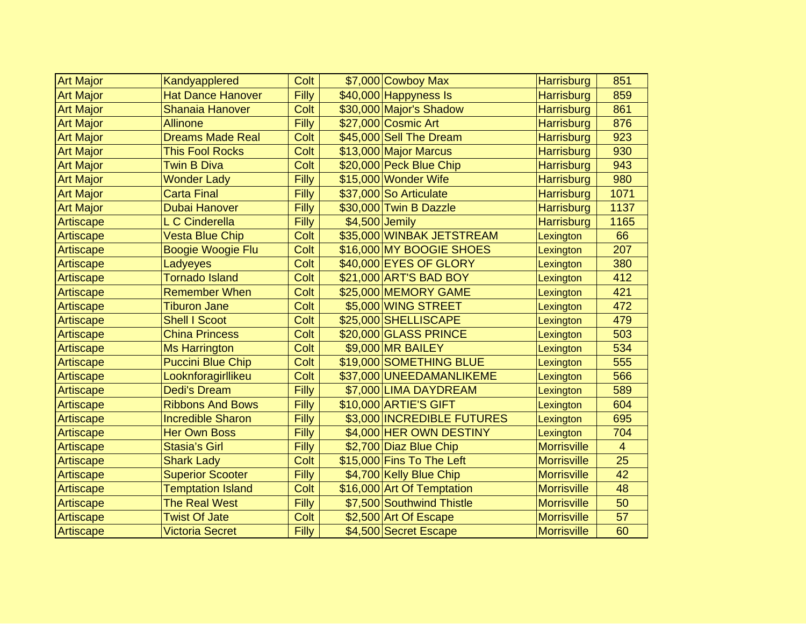| <b>Art Major</b> | Kandyapplered            | Colt         | \$7,000 Cowboy Max         | <b>Harrisburg</b>  | 851            |
|------------------|--------------------------|--------------|----------------------------|--------------------|----------------|
| <b>Art Major</b> | <b>Hat Dance Hanover</b> | <b>Filly</b> | $$40,000$ Happyness Is     | <b>Harrisburg</b>  | 859            |
| <b>Art Major</b> | <b>Shanaia Hanover</b>   | Colt         | \$30,000 Major's Shadow    | <b>Harrisburg</b>  | 861            |
| <b>Art Major</b> | <b>Allinone</b>          | Filly        | \$27,000 Cosmic Art        | <b>Harrisburg</b>  | 876            |
| <b>Art Major</b> | <b>Dreams Made Real</b>  | Colt         | \$45,000 Sell The Dream    | <b>Harrisburg</b>  | 923            |
| <b>Art Major</b> | <b>This Fool Rocks</b>   | Colt         | \$13,000 Major Marcus      | <b>Harrisburg</b>  | 930            |
| <b>Art Major</b> | <b>Twin B Diva</b>       | Colt         | \$20,000 Peck Blue Chip    | <b>Harrisburg</b>  | 943            |
| <b>Art Major</b> | <b>Wonder Lady</b>       | Filly        | \$15,000 Wonder Wife       | <b>Harrisburg</b>  | 980            |
| <b>Art Major</b> | <b>Carta Final</b>       | Filly        | \$37,000 So Articulate     | <b>Harrisburg</b>  | 1071           |
| <b>Art Major</b> | <b>Dubai Hanover</b>     | Filly        | \$30,000 Twin B Dazzle     | <b>Harrisburg</b>  | 1137           |
| Artiscape        | L C Cinderella           | Filly        | $$4,500$ Jemily            | <b>Harrisburg</b>  | 1165           |
| Artiscape        | <b>Vesta Blue Chip</b>   | Colt         | \$35,000 WINBAK JETSTREAM  | Lexington          | 66             |
| Artiscape        | <b>Boogie Woogie Flu</b> | Colt         | \$16,000 MY BOOGIE SHOES   | Lexington          | 207            |
| Artiscape        | Ladyeyes                 | Colt         | \$40,000 EYES OF GLORY     | Lexington          | 380            |
| Artiscape        | <b>Tornado Island</b>    | Colt         | \$21,000 ART'S BAD BOY     | Lexington          | 412            |
| Artiscape        | <b>Remember When</b>     | Colt         | \$25,000 MEMORY GAME       | Lexington          | 421            |
| Artiscape        | <b>Tiburon Jane</b>      | Colt         | \$5,000 WING STREET        | Lexington          | 472            |
| Artiscape        | <b>Shell I Scoot</b>     | Colt         | \$25,000 SHELLISCAPE       | Lexington          | 479            |
| Artiscape        | <b>China Princess</b>    | Colt         | \$20,000 GLASS PRINCE      | Lexington          | 503            |
| Artiscape        | <b>Ms Harrington</b>     | Colt         | \$9,000 MR BAILEY          | Lexington          | 534            |
| Artiscape        | <b>Puccini Blue Chip</b> | Colt         | \$19,000 SOMETHING BLUE    | Lexington          | 555            |
| Artiscape        | Looknforagirllikeu       | Colt         | \$37,000 UNEEDAMANLIKEME   | Lexington          | 566            |
| Artiscape        | <b>Dedi's Dream</b>      | Filly        | \$7,000 LIMA DAYDREAM      | Lexington          | 589            |
| Artiscape        | <b>Ribbons And Bows</b>  | Filly        | \$10,000 ARTIE'S GIFT      | Lexington          | 604            |
| Artiscape        | <b>Incredible Sharon</b> | Filly        | \$3,000 INCREDIBLE FUTURES | Lexington          | 695            |
| Artiscape        | <b>Her Own Boss</b>      | Filly        | \$4,000 HER OWN DESTINY    | Lexington          | 704            |
| Artiscape        | <b>Stasia's Girl</b>     | Filly        | \$2,700 Diaz Blue Chip     | <b>Morrisville</b> | $\overline{4}$ |
| Artiscape        | <b>Shark Lady</b>        | Colt         | \$15,000 Fins To The Left  | <b>Morrisville</b> | 25             |
| Artiscape        | <b>Superior Scooter</b>  | Filly        | \$4,700 Kelly Blue Chip    | <b>Morrisville</b> | 42             |
| Artiscape        | <b>Temptation Island</b> | Colt         | \$16,000 Art Of Temptation | <b>Morrisville</b> | 48             |
| Artiscape        | <b>The Real West</b>     | Filly        | \$7,500 Southwind Thistle  | <b>Morrisville</b> | 50             |
| Artiscape        | <b>Twist Of Jate</b>     | Colt         | \$2,500 Art Of Escape      | <b>Morrisville</b> | 57             |
| Artiscape        | <b>Victoria Secret</b>   | Filly        | \$4,500 Secret Escape      | <b>Morrisville</b> | 60             |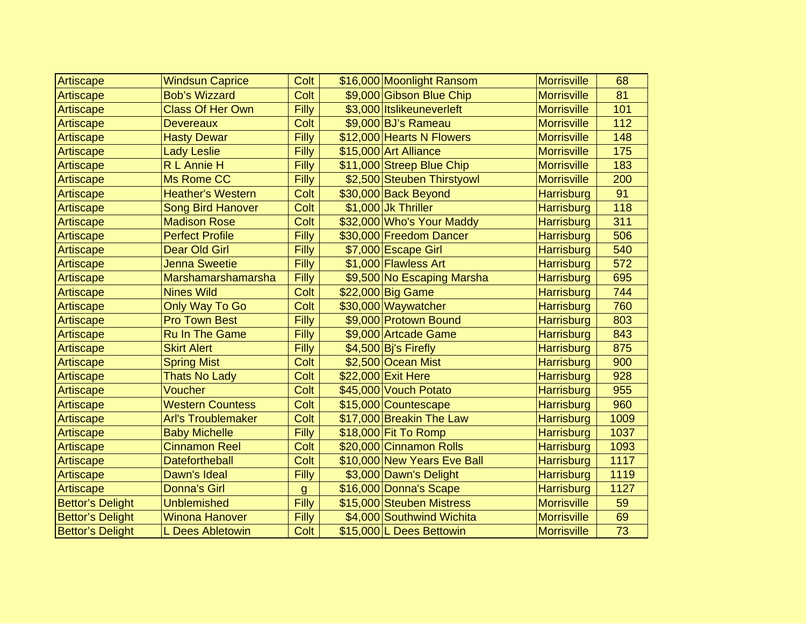| Artiscape               | <b>Windsun Caprice</b>    | Colt         | \$16,000 Moonlight Ransom   | <b>Morrisville</b> | 68   |
|-------------------------|---------------------------|--------------|-----------------------------|--------------------|------|
| Artiscape               | <b>Bob's Wizzard</b>      | Colt         | \$9,000 Gibson Blue Chip    | <b>Morrisville</b> | 81   |
| Artiscape               | <b>Class Of Her Own</b>   | Filly        | \$3,000 Itslikeuneverleft   | <b>Morrisville</b> | 101  |
| Artiscape               | <b>Devereaux</b>          | Colt         | \$9,000 BJ's Rameau         | <b>Morrisville</b> | 112  |
| Artiscape               | <b>Hasty Dewar</b>        | Filly        | \$12,000 Hearts N Flowers   | <b>Morrisville</b> | 148  |
| Artiscape               | <b>Lady Leslie</b>        | Filly        | \$15,000 Art Alliance       | <b>Morrisville</b> | 175  |
| Artiscape               | R L Annie H               | Filly        | \$11,000 Streep Blue Chip   | <b>Morrisville</b> | 183  |
| Artiscape               | Ms Rome CC                | Filly        | \$2,500 Steuben Thirstyowl  | <b>Morrisville</b> | 200  |
| Artiscape               | <b>Heather's Western</b>  | Colt         | \$30,000 Back Beyond        | <b>Harrisburg</b>  | 91   |
| Artiscape               | <b>Song Bird Hanover</b>  | Colt         | \$1,000 Jk Thriller         | Harrisburg         | 118  |
| Artiscape               | <b>Madison Rose</b>       | Colt         | \$32,000 Who's Your Maddy   | <b>Harrisburg</b>  | 311  |
| Artiscape               | <b>Perfect Profile</b>    | Filly        | \$30,000 Freedom Dancer     | <b>Harrisburg</b>  | 506  |
| Artiscape               | <b>Dear Old Girl</b>      | Filly        | \$7,000 Escape Girl         | <b>Harrisburg</b>  | 540  |
| Artiscape               | <b>Jenna Sweetie</b>      | Filly        | \$1,000 Flawless Art        | <b>Harrisburg</b>  | 572  |
| Artiscape               | Marshamarshamarsha        | Filly        | \$9,500 No Escaping Marsha  | <b>Harrisburg</b>  | 695  |
| Artiscape               | <b>Nines Wild</b>         | Colt         | \$22,000 Big Game           | <b>Harrisburg</b>  | 744  |
| Artiscape               | <b>Only Way To Go</b>     | Colt         | \$30,000 Waywatcher         | <b>Harrisburg</b>  | 760  |
| Artiscape               | <b>Pro Town Best</b>      | Filly        | \$9,000 Protown Bound       | <b>Harrisburg</b>  | 803  |
| Artiscape               | <b>Ru In The Game</b>     | Filly        | \$9,000 Artcade Game        | <b>Harrisburg</b>  | 843  |
| Artiscape               | <b>Skirt Alert</b>        | Filly        | \$4,500 Bj's Firefly        | <b>Harrisburg</b>  | 875  |
| Artiscape               | <b>Spring Mist</b>        | Colt         | \$2,500 Ocean Mist          | <b>Harrisburg</b>  | 900  |
| Artiscape               | <b>Thats No Lady</b>      | Colt         | \$22,000 Exit Here          | <b>Harrisburg</b>  | 928  |
| Artiscape               | Voucher                   | Colt         | \$45,000 Vouch Potato       | Harrisburg         | 955  |
| Artiscape               | <b>Western Countess</b>   | Colt         | \$15,000 Countescape        | <b>Harrisburg</b>  | 960  |
| Artiscape               | <b>Arl's Troublemaker</b> | Colt         | \$17,000 Breakin The Law    | <b>Harrisburg</b>  | 1009 |
| Artiscape               | <b>Baby Michelle</b>      | <b>Filly</b> | \$18,000 Fit To Romp        | <b>Harrisburg</b>  | 1037 |
| Artiscape               | <b>Cinnamon Reel</b>      | Colt         | \$20,000 Cinnamon Rolls     | <b>Harrisburg</b>  | 1093 |
| Artiscape               | <b>Datefortheball</b>     | Colt         | \$10,000 New Years Eve Ball | <b>Harrisburg</b>  | 1117 |
| Artiscape               | Dawn's Ideal              | Filly        | \$3,000 Dawn's Delight      | <b>Harrisburg</b>  | 1119 |
| Artiscape               | <b>Donna's Girl</b>       | $\mathsf{g}$ | \$16,000 Donna's Scape      | <b>Harrisburg</b>  | 1127 |
| <b>Bettor's Delight</b> | <b>Unblemished</b>        | Filly        | \$15,000 Steuben Mistress   | <b>Morrisville</b> | 59   |
| <b>Bettor's Delight</b> | <b>Winona Hanover</b>     | Filly        | \$4,000 Southwind Wichita   | <b>Morrisville</b> | 69   |
| <b>Bettor's Delight</b> | L Dees Abletowin          | Colt         | \$15,000 L Dees Bettowin    | <b>Morrisville</b> | 73   |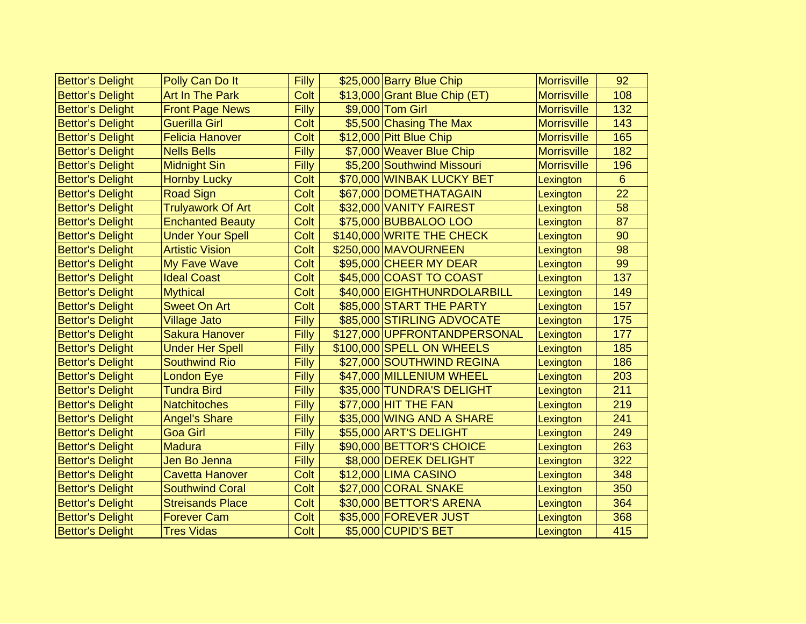| <b>Bettor's Delight</b> | Polly Can Do It          | Filly | \$25,000 Barry Blue Chip      | <b>Morrisville</b> | 92             |
|-------------------------|--------------------------|-------|-------------------------------|--------------------|----------------|
| <b>Bettor's Delight</b> | <b>Art In The Park</b>   | Colt  | \$13,000 Grant Blue Chip (ET) | <b>Morrisville</b> | 108            |
| <b>Bettor's Delight</b> | <b>Front Page News</b>   | Filly | \$9,000 Tom Girl              | <b>Morrisville</b> | 132            |
| <b>Bettor's Delight</b> | <b>Guerilla Girl</b>     | Colt  | \$5,500 Chasing The Max       | <b>Morrisville</b> | 143            |
| <b>Bettor's Delight</b> | <b>Felicia Hanover</b>   | Colt  | \$12,000 Pitt Blue Chip       | <b>Morrisville</b> | 165            |
| <b>Bettor's Delight</b> | <b>Nells Bells</b>       | Filly | \$7,000 Weaver Blue Chip      | <b>Morrisville</b> | 182            |
| <b>Bettor's Delight</b> | <b>Midnight Sin</b>      | Filly | \$5,200 Southwind Missouri    | <b>Morrisville</b> | 196            |
| <b>Bettor's Delight</b> | <b>Hornby Lucky</b>      | Colt  | \$70,000 WINBAK LUCKY BET     | Lexington          | $6\phantom{1}$ |
| <b>Bettor's Delight</b> | <b>Road Sign</b>         | Colt  | \$67,000 DOMETHATAGAIN        | Lexington          | 22             |
| <b>Bettor's Delight</b> | <b>Trulyawork Of Art</b> | Colt  | \$32,000 VANITY FAIREST       | Lexington          | 58             |
| <b>Bettor's Delight</b> | <b>Enchanted Beauty</b>  | Colt  | \$75,000 BUBBALOO LOO         | Lexington          | 87             |
| <b>Bettor's Delight</b> | <b>Under Your Spell</b>  | Colt  | \$140,000 WRITE THE CHECK     | Lexington          | 90             |
| <b>Bettor's Delight</b> | <b>Artistic Vision</b>   | Colt  | \$250,000 MAVOURNEEN          | Lexington          | 98             |
| <b>Bettor's Delight</b> | My Fave Wave             | Colt  | \$95,000 CHEER MY DEAR        | Lexington          | 99             |
| <b>Bettor's Delight</b> | <b>Ideal Coast</b>       | Colt  | \$45,000 COAST TO COAST       | Lexington          | 137            |
| <b>Bettor's Delight</b> | <b>Mythical</b>          | Colt  | \$40,000 EIGHTHUNRDOLARBILL   | Lexington          | 149            |
| <b>Bettor's Delight</b> | <b>Sweet On Art</b>      | Colt  | \$85,000 START THE PARTY      | Lexington          | 157            |
| <b>Bettor's Delight</b> | <b>Village Jato</b>      | Filly | \$85,000 STIRLING ADVOCATE    | Lexington          | 175            |
| <b>Bettor's Delight</b> | <b>Sakura Hanover</b>    | Filly | \$127,000 UPFRONTANDPERSONAL  | Lexington          | 177            |
| <b>Bettor's Delight</b> | <b>Under Her Spell</b>   | Filly | \$100,000 SPELL ON WHEELS     | Lexington          | 185            |
| <b>Bettor's Delight</b> | <b>Southwind Rio</b>     | Filly | \$27,000 SOUTHWIND REGINA     | Lexington          | 186            |
| <b>Bettor's Delight</b> | <b>London Eye</b>        | Filly | \$47,000 MILLENIUM WHEEL      | Lexington          | 203            |
| <b>Bettor's Delight</b> | <b>Tundra Bird</b>       | Filly | \$35,000 TUNDRA'S DELIGHT     | Lexington          | 211            |
| <b>Bettor's Delight</b> | <b>Natchitoches</b>      | Filly | \$77,000 HIT THE FAN          | Lexington          | 219            |
| <b>Bettor's Delight</b> | <b>Angel's Share</b>     | Filly | \$35,000 WING AND A SHARE     | Lexington          | 241            |
| <b>Bettor's Delight</b> | <b>Goa Girl</b>          | Filly | \$55,000 ART'S DELIGHT        | Lexington          | 249            |
| <b>Bettor's Delight</b> | <b>Madura</b>            | Filly | \$90,000 BETTOR'S CHOICE      | Lexington          | 263            |
| <b>Bettor's Delight</b> | Jen Bo Jenna             | Filly | \$8,000 DEREK DELIGHT         | Lexington          | 322            |
| <b>Bettor's Delight</b> | <b>Cavetta Hanover</b>   | Colt  | \$12,000 LIMA CASINO          | Lexington          | 348            |
| <b>Bettor's Delight</b> | <b>Southwind Coral</b>   | Colt  | \$27,000 CORAL SNAKE          | Lexington          | 350            |
| <b>Bettor's Delight</b> | <b>Streisands Place</b>  | Colt  | \$30,000 BETTOR'S ARENA       | Lexington          | 364            |
| <b>Bettor's Delight</b> | <b>Forever Cam</b>       | Colt  | \$35,000 FOREVER JUST         | Lexington          | 368            |
| <b>Bettor's Delight</b> | <b>Tres Vidas</b>        | Colt  | \$5,000 CUPID'S BET           | Lexington          | 415            |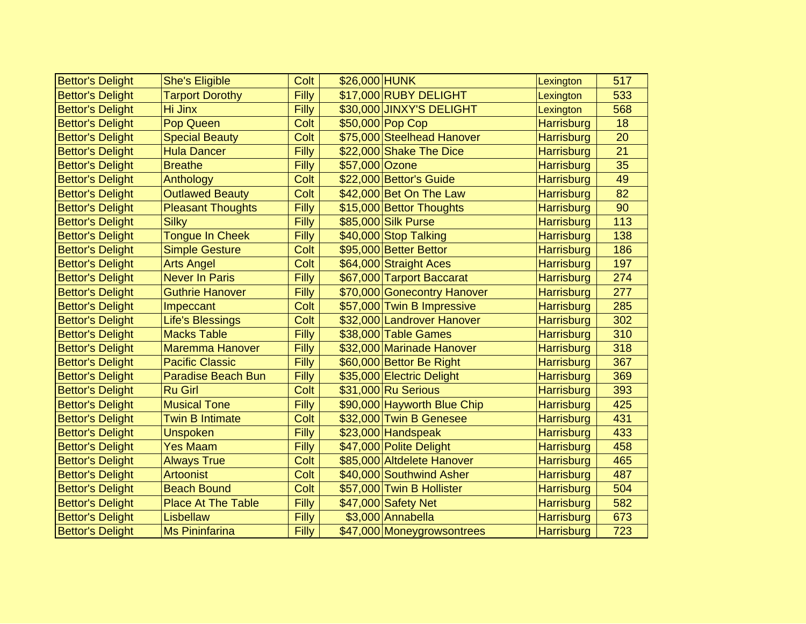| <b>Bettor's Delight</b> | <b>She's Eligible</b>     | Colt  | \$26,000 HUNK  |                             | Lexington         | 517 |
|-------------------------|---------------------------|-------|----------------|-----------------------------|-------------------|-----|
| <b>Bettor's Delight</b> | <b>Tarport Dorothy</b>    | Filly |                | \$17,000 RUBY DELIGHT       | Lexington         | 533 |
| <b>Bettor's Delight</b> | <b>Hi Jinx</b>            | Filly |                | \$30,000 JINXY'S DELIGHT    | Lexington         | 568 |
| <b>Bettor's Delight</b> | Pop Queen                 | Colt  |                | \$50,000 Pop Cop            | <b>Harrisburg</b> | 18  |
| <b>Bettor's Delight</b> | <b>Special Beauty</b>     | Colt  |                | \$75,000 Steelhead Hanover  | <b>Harrisburg</b> | 20  |
| <b>Bettor's Delight</b> | <b>Hula Dancer</b>        | Filly |                | \$22,000 Shake The Dice     | <b>Harrisburg</b> | 21  |
| <b>Bettor's Delight</b> | <b>Breathe</b>            | Filly | \$57,000 Ozone |                             | <b>Harrisburg</b> | 35  |
| <b>Bettor's Delight</b> | Anthology                 | Colt  |                | \$22,000 Bettor's Guide     | <b>Harrisburg</b> | 49  |
| <b>Bettor's Delight</b> | <b>Outlawed Beauty</b>    | Colt  |                | \$42,000 Bet On The Law     | <b>Harrisburg</b> | 82  |
| <b>Bettor's Delight</b> | <b>Pleasant Thoughts</b>  | Filly |                | \$15,000 Bettor Thoughts    | <b>Harrisburg</b> | 90  |
| <b>Bettor's Delight</b> | <b>Silky</b>              | Filly |                | \$85,000 Silk Purse         | <b>Harrisburg</b> | 113 |
| <b>Bettor's Delight</b> | <b>Tongue In Cheek</b>    | Filly |                | \$40,000 Stop Talking       | <b>Harrisburg</b> | 138 |
| <b>Bettor's Delight</b> | <b>Simple Gesture</b>     | Colt  |                | \$95,000 Better Bettor      | <b>Harrisburg</b> | 186 |
| <b>Bettor's Delight</b> | <b>Arts Angel</b>         | Colt  |                | \$64,000 Straight Aces      | <b>Harrisburg</b> | 197 |
| <b>Bettor's Delight</b> | <b>Never In Paris</b>     | Filly |                | \$67,000 Tarport Baccarat   | <b>Harrisburg</b> | 274 |
| <b>Bettor's Delight</b> | <b>Guthrie Hanover</b>    | Filly |                | \$70,000 Gonecontry Hanover | <b>Harrisburg</b> | 277 |
| <b>Bettor's Delight</b> | Impeccant                 | Colt  |                | \$57,000 Twin B Impressive  | <b>Harrisburg</b> | 285 |
| <b>Bettor's Delight</b> | <b>Life's Blessings</b>   | Colt  |                | \$32,000 Landrover Hanover  | <b>Harrisburg</b> | 302 |
| <b>Bettor's Delight</b> | <b>Macks Table</b>        | Filly |                | \$38,000 Table Games        | <b>Harrisburg</b> | 310 |
| <b>Bettor's Delight</b> | <b>Maremma Hanover</b>    | Filly |                | \$32,000 Marinade Hanover   | <b>Harrisburg</b> | 318 |
| <b>Bettor's Delight</b> | <b>Pacific Classic</b>    | Filly |                | \$60,000 Bettor Be Right    | <b>Harrisburg</b> | 367 |
| <b>Bettor's Delight</b> | Paradise Beach Bun        | Filly |                | \$35,000 Electric Delight   | <b>Harrisburg</b> | 369 |
| <b>Bettor's Delight</b> | <b>Ru Girl</b>            | Colt  |                | \$31,000 Ru Serious         | <b>Harrisburg</b> | 393 |
| <b>Bettor's Delight</b> | <b>Musical Tone</b>       | Filly |                | \$90,000 Hayworth Blue Chip | <b>Harrisburg</b> | 425 |
| <b>Bettor's Delight</b> | <b>Twin B Intimate</b>    | Colt  |                | \$32,000 Twin B Genesee     | <b>Harrisburg</b> | 431 |
| <b>Bettor's Delight</b> | <b>Unspoken</b>           | Filly |                | \$23,000 Handspeak          | <b>Harrisburg</b> | 433 |
| <b>Bettor's Delight</b> | <b>Yes Maam</b>           | Filly |                | \$47,000 Polite Delight     | <b>Harrisburg</b> | 458 |
| <b>Bettor's Delight</b> | <b>Always True</b>        | Colt  |                | \$85,000 Altdelete Hanover  | <b>Harrisburg</b> | 465 |
| <b>Bettor's Delight</b> | <b>Artoonist</b>          | Colt  |                | \$40,000 Southwind Asher    | <b>Harrisburg</b> | 487 |
| <b>Bettor's Delight</b> | <b>Beach Bound</b>        | Colt  |                | \$57,000 Twin B Hollister   | <b>Harrisburg</b> | 504 |
| <b>Bettor's Delight</b> | <b>Place At The Table</b> | Filly |                | \$47,000 Safety Net         | <b>Harrisburg</b> | 582 |
| <b>Bettor's Delight</b> | Lisbellaw                 | Filly |                | \$3,000 Annabella           | Harrisburg        | 673 |
| <b>Bettor's Delight</b> | <b>Ms Pininfarina</b>     | Filly |                | \$47,000 Moneygrowsontrees  | <b>Harrisburg</b> | 723 |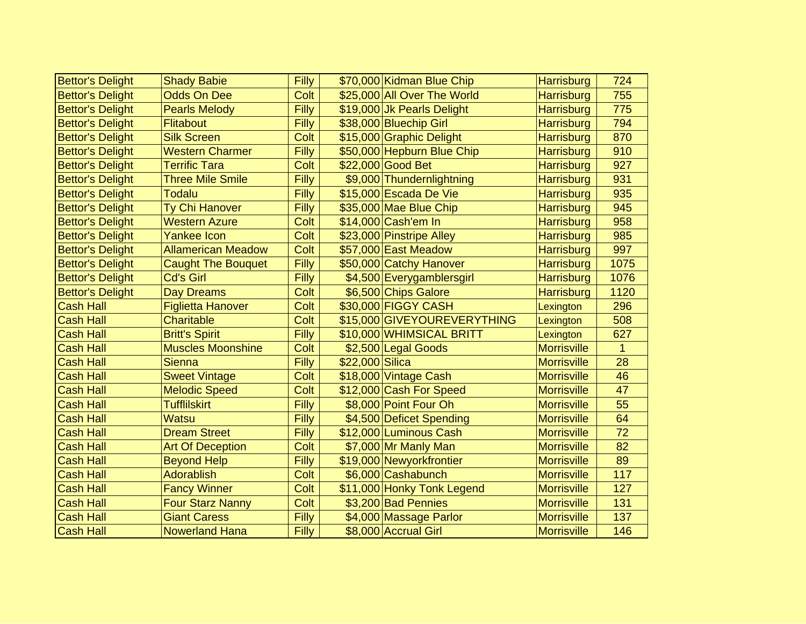| <b>Bettor's Delight</b> | <b>Shady Babie</b>        | Filly | \$70,000 Kidman Blue Chip<br><b>Harrisburg</b>   | 724          |
|-------------------------|---------------------------|-------|--------------------------------------------------|--------------|
| <b>Bettor's Delight</b> | <b>Odds On Dee</b>        | Colt  | \$25,000 All Over The World<br><b>Harrisburg</b> | 755          |
| <b>Bettor's Delight</b> | <b>Pearls Melody</b>      | Filly | \$19,000 Jk Pearls Delight<br><b>Harrisburg</b>  | 775          |
| <b>Bettor's Delight</b> | <b>Flitabout</b>          | Filly | \$38,000 Bluechip Girl<br><b>Harrisburg</b>      | 794          |
| <b>Bettor's Delight</b> | <b>Silk Screen</b>        | Colt  | \$15,000 Graphic Delight<br><b>Harrisburg</b>    | 870          |
| <b>Bettor's Delight</b> | <b>Western Charmer</b>    | Filly | \$50,000 Hepburn Blue Chip<br><b>Harrisburg</b>  | 910          |
| <b>Bettor's Delight</b> | <b>Terrific Tara</b>      | Colt  | \$22,000 Good Bet<br><b>Harrisburg</b>           | 927          |
| <b>Bettor's Delight</b> | <b>Three Mile Smile</b>   | Filly | \$9,000 Thundernlightning<br><b>Harrisburg</b>   | 931          |
| <b>Bettor's Delight</b> | <b>Todalu</b>             | Filly | \$15,000 Escada De Vie<br>Harrisburg             | 935          |
| <b>Bettor's Delight</b> | Ty Chi Hanover            | Filly | \$35,000 Mae Blue Chip<br><b>Harrisburg</b>      | 945          |
| <b>Bettor's Delight</b> | <b>Western Azure</b>      | Colt  | \$14,000 Cash'em In<br><b>Harrisburg</b>         | 958          |
| <b>Bettor's Delight</b> | <b>Yankee Icon</b>        | Colt  | \$23,000 Pinstripe Alley<br><b>Harrisburg</b>    | 985          |
| <b>Bettor's Delight</b> | <b>Allamerican Meadow</b> | Colt  | \$57,000 East Meadow<br><b>Harrisburg</b>        | 997          |
| <b>Bettor's Delight</b> | <b>Caught The Bouquet</b> | Filly | \$50,000 Catchy Hanover<br><b>Harrisburg</b>     | 1075         |
| <b>Bettor's Delight</b> | <b>Cd's Girl</b>          | Filly | \$4,500 Everygamblersgirl<br><b>Harrisburg</b>   | 1076         |
| <b>Bettor's Delight</b> | <b>Day Dreams</b>         | Colt  | \$6,500 Chips Galore<br><b>Harrisburg</b>        | 1120         |
| <b>Cash Hall</b>        | <b>Figlietta Hanover</b>  | Colt  | \$30,000 FIGGY CASH<br>Lexington                 | 296          |
| <b>Cash Hall</b>        | Charitable                | Colt  | \$15,000 GIVEYOUREVERYTHING<br>Lexington         | 508          |
| <b>Cash Hall</b>        | <b>Britt's Spirit</b>     | Filly | \$10,000 WHIMSICAL BRITT<br>Lexington            | 627          |
| <b>Cash Hall</b>        | <b>Muscles Moonshine</b>  | Colt  | \$2,500 Legal Goods<br><b>Morrisville</b>        | $\mathbf{1}$ |
| <b>Cash Hall</b>        | <b>Sienna</b>             | Filly | \$22,000 Silica<br><b>Morrisville</b>            | 28           |
| <b>Cash Hall</b>        | <b>Sweet Vintage</b>      | Colt  | \$18,000 Vintage Cash<br><b>Morrisville</b>      | 46           |
| <b>Cash Hall</b>        | <b>Melodic Speed</b>      | Colt  | \$12,000 Cash For Speed<br><b>Morrisville</b>    | 47           |
| <b>Cash Hall</b>        | <b>Tufflilskirt</b>       | Filly | \$8,000 Point Four Oh<br><b>Morrisville</b>      | 55           |
| <b>Cash Hall</b>        | <b>Watsu</b>              | Filly | \$4,500 Deficet Spending<br><b>Morrisville</b>   | 64           |
| <b>Cash Hall</b>        | <b>Dream Street</b>       | Filly | \$12,000 Luminous Cash<br><b>Morrisville</b>     | 72           |
| <b>Cash Hall</b>        | <b>Art Of Deception</b>   | Colt  | \$7,000 Mr Manly Man<br><b>Morrisville</b>       | 82           |
| <b>Cash Hall</b>        | <b>Beyond Help</b>        | Filly | \$19,000 Newyorkfrontier<br><b>Morrisville</b>   | 89           |
| <b>Cash Hall</b>        | <b>Adorablish</b>         | Colt  | \$6,000 Cashabunch<br><b>Morrisville</b>         | 117          |
| <b>Cash Hall</b>        | <b>Fancy Winner</b>       | Colt  | \$11,000 Honky Tonk Legend<br><b>Morrisville</b> | 127          |
| <b>Cash Hall</b>        | <b>Four Starz Nanny</b>   | Colt  | \$3,200 Bad Pennies<br><b>Morrisville</b>        | 131          |
| <b>Cash Hall</b>        | <b>Giant Caress</b>       | Filly | \$4,000 Massage Parlor<br><b>Morrisville</b>     | 137          |
| <b>Cash Hall</b>        | <b>Nowerland Hana</b>     | Filly | \$8,000 Accrual Girl<br><b>Morrisville</b>       | 146          |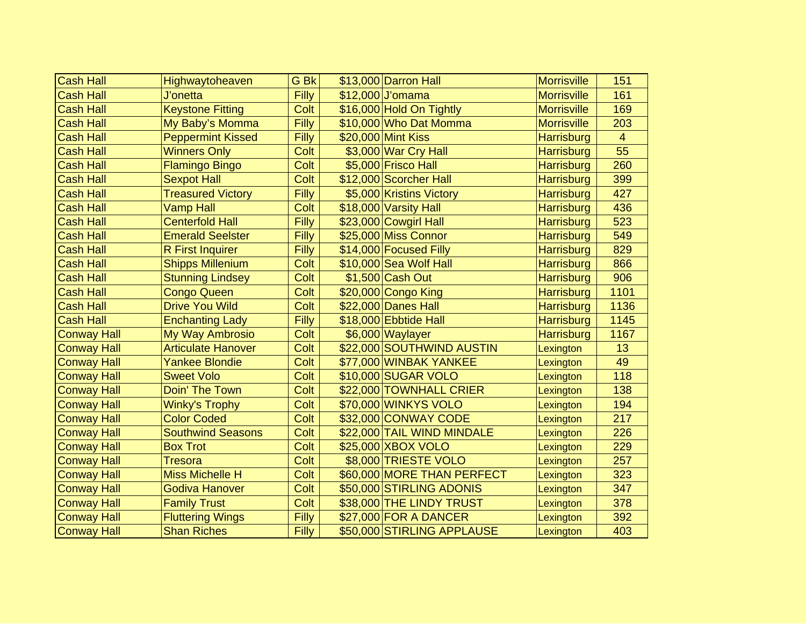| <b>Cash Hall</b>   | Highwaytoheaven           | G Bk  | \$13,000 Darron Hall       | <b>Morrisville</b> | 151            |
|--------------------|---------------------------|-------|----------------------------|--------------------|----------------|
| <b>Cash Hall</b>   | J'onetta                  | Filly | \$12,000 J'omama           | <b>Morrisville</b> | 161            |
| <b>Cash Hall</b>   | <b>Keystone Fitting</b>   | Colt  | \$16,000 Hold On Tightly   | <b>Morrisville</b> | 169            |
| <b>Cash Hall</b>   | My Baby's Momma           | Filly | \$10,000 Who Dat Momma     | <b>Morrisville</b> | 203            |
| <b>Cash Hall</b>   | <b>Peppermint Kissed</b>  | Filly | \$20,000 Mint Kiss         | Harrisburg         | $\overline{4}$ |
| <b>Cash Hall</b>   | <b>Winners Only</b>       | Colt  | \$3,000 War Cry Hall       | <b>Harrisburg</b>  | 55             |
| <b>Cash Hall</b>   | <b>Flamingo Bingo</b>     | Colt  | \$5,000 Frisco Hall        | <b>Harrisburg</b>  | 260            |
| <b>Cash Hall</b>   | <b>Sexpot Hall</b>        | Colt  | \$12,000 Scorcher Hall     | <b>Harrisburg</b>  | 399            |
| <b>Cash Hall</b>   | <b>Treasured Victory</b>  | Filly | \$5,000 Kristins Victory   | <b>Harrisburg</b>  | 427            |
| <b>Cash Hall</b>   | <b>Vamp Hall</b>          | Colt  | \$18,000 Varsity Hall      | <b>Harrisburg</b>  | 436            |
| <b>Cash Hall</b>   | <b>Centerfold Hall</b>    | Filly | \$23,000 Cowgirl Hall      | Harrisburg         | 523            |
| <b>Cash Hall</b>   | <b>Emerald Seelster</b>   | Filly | \$25,000 Miss Connor       | <b>Harrisburg</b>  | 549            |
| <b>Cash Hall</b>   | <b>R</b> First Inquirer   | Filly | \$14,000 Focused Filly     | <b>Harrisburg</b>  | 829            |
| <b>Cash Hall</b>   | <b>Shipps Millenium</b>   | Colt  | \$10,000 Sea Wolf Hall     | <b>Harrisburg</b>  | 866            |
| <b>Cash Hall</b>   | <b>Stunning Lindsey</b>   | Colt  | \$1,500 Cash Out           | Harrisburg         | 906            |
| <b>Cash Hall</b>   | <b>Congo Queen</b>        | Colt  | \$20,000 Congo King        | <b>Harrisburg</b>  | 1101           |
| <b>Cash Hall</b>   | <b>Drive You Wild</b>     | Colt  | \$22,000 Danes Hall        | Harrisburg         | 1136           |
| <b>Cash Hall</b>   | <b>Enchanting Lady</b>    | Filly | \$18,000 Ebbtide Hall      | <b>Harrisburg</b>  | 1145           |
| <b>Conway Hall</b> | My Way Ambrosio           | Colt  | \$6,000 Waylayer           | <b>Harrisburg</b>  | 1167           |
| <b>Conway Hall</b> | <b>Articulate Hanover</b> | Colt  | \$22,000 SOUTHWIND AUSTIN  | Lexington          | 13             |
| <b>Conway Hall</b> | <b>Yankee Blondie</b>     | Colt  | \$77,000 WINBAK YANKEE     | Lexington          | 49             |
| <b>Conway Hall</b> | <b>Sweet Volo</b>         | Colt  | \$10,000 SUGAR VOLO        | Lexington          | 118            |
| <b>Conway Hall</b> | Doin' The Town            | Colt  | \$22,000 TOWNHALL CRIER    | Lexington          | 138            |
| <b>Conway Hall</b> | <b>Winky's Trophy</b>     | Colt  | \$70,000 WINKYS VOLO       | Lexington          | 194            |
| <b>Conway Hall</b> | <b>Color Coded</b>        | Colt  | \$32,000 CONWAY CODE       | Lexington          | 217            |
| <b>Conway Hall</b> | <b>Southwind Seasons</b>  | Colt  | \$22,000 TAIL WIND MINDALE | Lexington          | 226            |
| <b>Conway Hall</b> | <b>Box Trot</b>           | Colt  | \$25,000 XBOX VOLO         | Lexington          | 229            |
| <b>Conway Hall</b> | <b>Tresora</b>            | Colt  | \$8,000 TRIESTE VOLO       | Lexington          | 257            |
| <b>Conway Hall</b> | <b>Miss Michelle H</b>    | Colt  | \$60,000 MORE THAN PERFECT | Lexington          | 323            |
| <b>Conway Hall</b> | <b>Godiva Hanover</b>     | Colt  | \$50,000 STIRLING ADONIS   | Lexington          | 347            |
| <b>Conway Hall</b> | <b>Family Trust</b>       | Colt  | \$38,000 THE LINDY TRUST   | Lexington          | 378            |
| <b>Conway Hall</b> | <b>Fluttering Wings</b>   | Filly | \$27,000 FOR A DANCER      | Lexington          | 392            |
| <b>Conway Hall</b> | <b>Shan Riches</b>        | Filly | \$50,000 STIRLING APPLAUSE | Lexington          | 403            |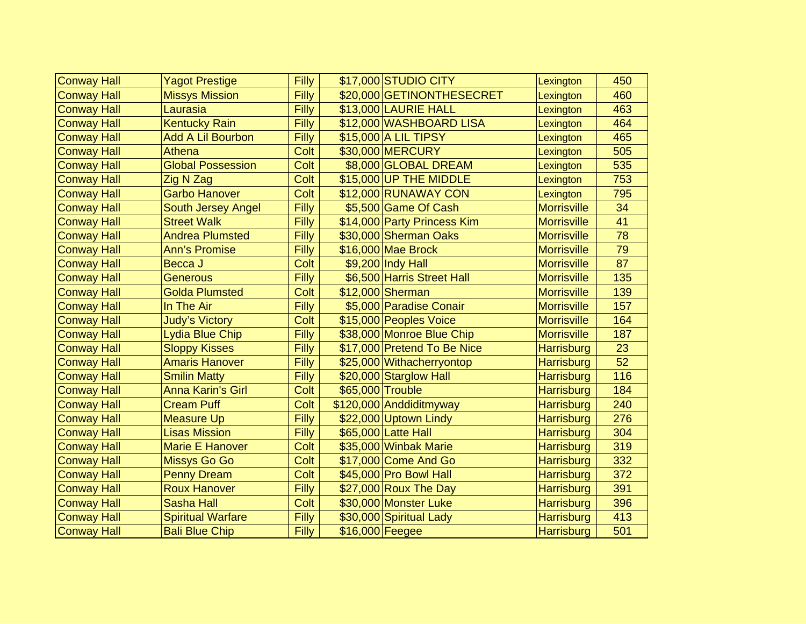| <b>Conway Hall</b> | <b>Yagot Prestige</b>     | Filly | \$17,000 STUDIO CITY        | Lexington          | 450 |
|--------------------|---------------------------|-------|-----------------------------|--------------------|-----|
| <b>Conway Hall</b> | <b>Missys Mission</b>     | Filly | \$20,000 GETINONTHESECRET   | Lexington          | 460 |
| <b>Conway Hall</b> | Laurasia                  | Filly | \$13,000 LAURIE HALL        | Lexington          | 463 |
| <b>Conway Hall</b> | <b>Kentucky Rain</b>      | Filly | \$12,000 WASHBOARD LISA     | Lexington          | 464 |
| <b>Conway Hall</b> | <b>Add A Lil Bourbon</b>  | Filly | \$15,000 A LIL TIPSY        | Lexington          | 465 |
| <b>Conway Hall</b> | <b>Athena</b>             | Colt  | \$30,000 MERCURY            | Lexington          | 505 |
| <b>Conway Hall</b> | <b>Global Possession</b>  | Colt  | \$8,000 GLOBAL DREAM        | Lexington          | 535 |
| <b>Conway Hall</b> | Zig N Zag                 | Colt  | \$15,000 UP THE MIDDLE      | Lexington          | 753 |
| <b>Conway Hall</b> | <b>Garbo Hanover</b>      | Colt  | \$12,000 RUNAWAY CON        | Lexington          | 795 |
| <b>Conway Hall</b> | <b>South Jersey Angel</b> | Filly | \$5,500 Game Of Cash        | <b>Morrisville</b> | 34  |
| <b>Conway Hall</b> | <b>Street Walk</b>        | Filly | \$14,000 Party Princess Kim | <b>Morrisville</b> | 41  |
| <b>Conway Hall</b> | <b>Andrea Plumsted</b>    | Filly | \$30,000 Sherman Oaks       | <b>Morrisville</b> | 78  |
| <b>Conway Hall</b> | <b>Ann's Promise</b>      | Filly | \$16,000 Mae Brock          | <b>Morrisville</b> | 79  |
| <b>Conway Hall</b> | Becca J                   | Colt  | \$9,200 Indy Hall           | <b>Morrisville</b> | 87  |
| <b>Conway Hall</b> | <b>Generous</b>           | Filly | \$6,500 Harris Street Hall  | <b>Morrisville</b> | 135 |
| Conway Hall        | <b>Golda Plumsted</b>     | Colt  | \$12,000 Sherman            | <b>Morrisville</b> | 139 |
| <b>Conway Hall</b> | In The Air                | Filly | \$5,000 Paradise Conair     | <b>Morrisville</b> | 157 |
| <b>Conway Hall</b> | <b>Judy's Victory</b>     | Colt  | \$15,000 Peoples Voice      | <b>Morrisville</b> | 164 |
| <b>Conway Hall</b> | <b>Lydia Blue Chip</b>    | Filly | \$38,000 Monroe Blue Chip   | <b>Morrisville</b> | 187 |
| <b>Conway Hall</b> | <b>Sloppy Kisses</b>      | Filly | \$17,000 Pretend To Be Nice | <b>Harrisburg</b>  | 23  |
| <b>Conway Hall</b> | <b>Amaris Hanover</b>     | Filly | \$25,000 Withacherryontop   | <b>Harrisburg</b>  | 52  |
| <b>Conway Hall</b> | <b>Smilin Matty</b>       | Filly | \$20,000 Starglow Hall      | <b>Harrisburg</b>  | 116 |
| <b>Conway Hall</b> | <b>Anna Karin's Girl</b>  | Colt  | \$65,000 Trouble            | <b>Harrisburg</b>  | 184 |
| <b>Conway Hall</b> | <b>Cream Puff</b>         | Colt  | \$120,000 Anddiditmyway     | <b>Harrisburg</b>  | 240 |
| <b>Conway Hall</b> | <b>Measure Up</b>         | Filly | \$22,000 Uptown Lindy       | <b>Harrisburg</b>  | 276 |
| <b>Conway Hall</b> | <b>Lisas Mission</b>      | Filly | \$65,000 Latte Hall         | <b>Harrisburg</b>  | 304 |
| <b>Conway Hall</b> | <b>Marie E Hanover</b>    | Colt  | \$35,000 Winbak Marie       | <b>Harrisburg</b>  | 319 |
| <b>Conway Hall</b> | <b>Missys Go Go</b>       | Colt  | \$17,000 Come And Go        | <b>Harrisburg</b>  | 332 |
| <b>Conway Hall</b> | <b>Penny Dream</b>        | Colt  | \$45,000 Pro Bowl Hall      | <b>Harrisburg</b>  | 372 |
| <b>Conway Hall</b> | <b>Roux Hanover</b>       | Filly | $$27,000$ Roux The Day      | <b>Harrisburg</b>  | 391 |
| <b>Conway Hall</b> | <b>Sasha Hall</b>         | Colt  | \$30,000 Monster Luke       | <b>Harrisburg</b>  | 396 |
| Conway Hall        | <b>Spiritual Warfare</b>  | Filly | \$30,000 Spiritual Lady     | <b>Harrisburg</b>  | 413 |
| <b>Conway Hall</b> | <b>Bali Blue Chip</b>     | Filly | \$16,000 Feegee             | <b>Harrisburg</b>  | 501 |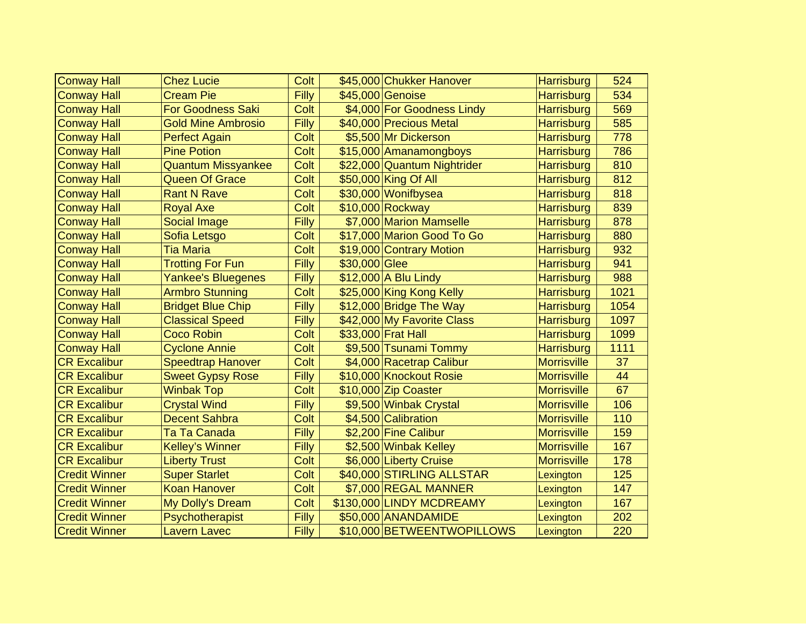| <b>Conway Hall</b>   | <b>Chez Lucie</b>         | Colt  |               | \$45,000 Chukker Hanover    | <b>Harrisburg</b>  | 524  |
|----------------------|---------------------------|-------|---------------|-----------------------------|--------------------|------|
| <b>Conway Hall</b>   | <b>Cream Pie</b>          | Filly |               | \$45,000 Genoise            | <b>Harrisburg</b>  | 534  |
| <b>Conway Hall</b>   | <b>For Goodness Saki</b>  | Colt  |               | \$4,000 For Goodness Lindy  | <b>Harrisburg</b>  | 569  |
| <b>Conway Hall</b>   | <b>Gold Mine Ambrosio</b> | Filly |               | \$40,000 Precious Metal     | <b>Harrisburg</b>  | 585  |
| <b>Conway Hall</b>   | <b>Perfect Again</b>      | Colt  |               | \$5,500 Mr Dickerson        | <b>Harrisburg</b>  | 778  |
| <b>Conway Hall</b>   | <b>Pine Potion</b>        | Colt  |               | \$15,000 Amanamongboys      | <b>Harrisburg</b>  | 786  |
| <b>Conway Hall</b>   | <b>Quantum Missyankee</b> | Colt  |               | \$22,000 Quantum Nightrider | <b>Harrisburg</b>  | 810  |
| <b>Conway Hall</b>   | <b>Queen Of Grace</b>     | Colt  |               | \$50,000 King Of All        | <b>Harrisburg</b>  | 812  |
| <b>Conway Hall</b>   | <b>Rant N Rave</b>        | Colt  |               | \$30,000 Wonifbysea         | <b>Harrisburg</b>  | 818  |
| <b>Conway Hall</b>   | <b>Royal Axe</b>          | Colt  |               | \$10,000 Rockway            | <b>Harrisburg</b>  | 839  |
| <b>Conway Hall</b>   | <b>Social Image</b>       | Filly |               | \$7,000 Marion Mamselle     | Harrisburg         | 878  |
| <b>Conway Hall</b>   | Sofia Letsgo              | Colt  |               | \$17,000 Marion Good To Go  | <b>Harrisburg</b>  | 880  |
| <b>Conway Hall</b>   | <b>Tia Maria</b>          | Colt  |               | \$19,000 Contrary Motion    | <b>Harrisburg</b>  | 932  |
| <b>Conway Hall</b>   | <b>Trotting For Fun</b>   | Filly | \$30,000 Glee |                             | Harrisburg         | 941  |
| <b>Conway Hall</b>   | <b>Yankee's Bluegenes</b> | Filly |               | \$12,000 A Blu Lindy        | <b>Harrisburg</b>  | 988  |
| <b>Conway Hall</b>   | <b>Armbro Stunning</b>    | Colt  |               | \$25,000 King Kong Kelly    | <b>Harrisburg</b>  | 1021 |
| <b>Conway Hall</b>   | <b>Bridget Blue Chip</b>  | Filly |               | \$12,000 Bridge The Way     | <b>Harrisburg</b>  | 1054 |
| <b>Conway Hall</b>   | <b>Classical Speed</b>    | Filly |               | \$42,000 My Favorite Class  | Harrisburg         | 1097 |
| <b>Conway Hall</b>   | <b>Coco Robin</b>         | Colt  |               | \$33,000 Frat Hall          | <b>Harrisburg</b>  | 1099 |
| <b>Conway Hall</b>   | <b>Cyclone Annie</b>      | Colt  |               | \$9,500 Tsunami Tommy       | <b>Harrisburg</b>  | 1111 |
| <b>CR Excalibur</b>  | <b>Speedtrap Hanover</b>  | Colt  |               | \$4,000 Racetrap Calibur    | <b>Morrisville</b> | 37   |
| <b>CR Excalibur</b>  | <b>Sweet Gypsy Rose</b>   | Filly |               | \$10,000 Knockout Rosie     | <b>Morrisville</b> | 44   |
| <b>CR Excalibur</b>  | <b>Winbak Top</b>         | Colt  |               | \$10,000 Zip Coaster        | <b>Morrisville</b> | 67   |
| <b>CR Excalibur</b>  | <b>Crystal Wind</b>       | Filly |               | \$9,500 Winbak Crystal      | <b>Morrisville</b> | 106  |
| <b>CR Excalibur</b>  | <b>Decent Sahbra</b>      | Colt  |               | \$4,500 Calibration         | <b>Morrisville</b> | 110  |
| <b>CR Excalibur</b>  | Ta Ta Canada              | Filly |               | \$2,200 Fine Calibur        | <b>Morrisville</b> | 159  |
| <b>CR Excalibur</b>  | <b>Kelley's Winner</b>    | Filly |               | \$2,500 Winbak Kelley       | <b>Morrisville</b> | 167  |
| <b>CR Excalibur</b>  | <b>Liberty Trust</b>      | Colt  |               | \$6,000 Liberty Cruise      | <b>Morrisville</b> | 178  |
| <b>Credit Winner</b> | <b>Super Starlet</b>      | Colt  |               | \$40,000 STIRLING ALLSTAR   | Lexington          | 125  |
| <b>Credit Winner</b> | <b>Koan Hanover</b>       | Colt  |               | \$7,000 REGAL MANNER        | Lexington          | 147  |
| <b>Credit Winner</b> | My Dolly's Dream          | Colt  |               | \$130,000 LINDY MCDREAMY    | Lexington          | 167  |
| <b>Credit Winner</b> | Psychotherapist           | Filly |               | \$50,000 ANANDAMIDE         | Lexington          | 202  |
| <b>Credit Winner</b> | <b>Lavern Lavec</b>       | Filly |               | \$10,000 BETWEENTWOPILLOWS  | Lexington          | 220  |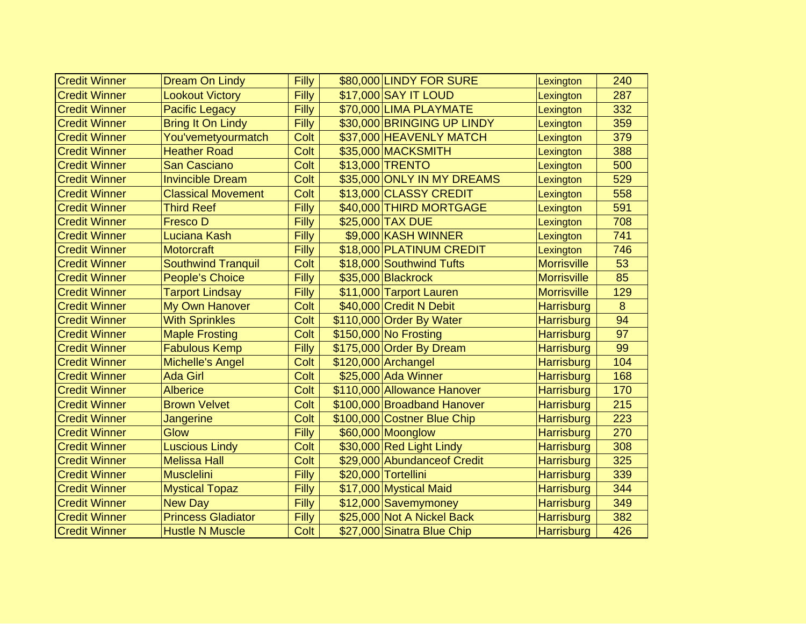| <b>Credit Winner</b> | <b>Dream On Lindy</b>     | Filly | \$80,000 LINDY FOR SURE      | Lexington          | 240 |
|----------------------|---------------------------|-------|------------------------------|--------------------|-----|
| <b>Credit Winner</b> | <b>Lookout Victory</b>    | Filly | \$17,000 SAY IT LOUD         | Lexington          | 287 |
| <b>Credit Winner</b> | <b>Pacific Legacy</b>     | Filly | \$70,000 LIMA PLAYMATE       | Lexington          | 332 |
| <b>Credit Winner</b> | <b>Bring It On Lindy</b>  | Filly | \$30,000 BRINGING UP LINDY   | Lexington          | 359 |
| <b>Credit Winner</b> | You'vemetyourmatch        | Colt  | \$37,000 HEAVENLY MATCH      | Lexington          | 379 |
| <b>Credit Winner</b> | <b>Heather Road</b>       | Colt  | \$35,000 MACKSMITH           | Lexington          | 388 |
| <b>Credit Winner</b> | <b>San Casciano</b>       | Colt  | \$13,000 TRENTO              | Lexington          | 500 |
| <b>Credit Winner</b> | <b>Invincible Dream</b>   | Colt  | \$35,000 ONLY IN MY DREAMS   | Lexington          | 529 |
| <b>Credit Winner</b> | <b>Classical Movement</b> | Colt  | \$13,000 CLASSY CREDIT       | Lexington          | 558 |
| <b>Credit Winner</b> | <b>Third Reef</b>         | Filly | \$40,000 THIRD MORTGAGE      | Lexington          | 591 |
| <b>Credit Winner</b> | <b>Fresco D</b>           | Filly | \$25,000 TAX DUE             | Lexington          | 708 |
| <b>Credit Winner</b> | Luciana Kash              | Filly | \$9,000 KASH WINNER          | Lexington          | 741 |
| <b>Credit Winner</b> | <b>Motorcraft</b>         | Filly | \$18,000 PLATINUM CREDIT     | Lexington          | 746 |
| <b>Credit Winner</b> | <b>Southwind Tranquil</b> | Colt  | \$18,000 Southwind Tufts     | <b>Morrisville</b> | 53  |
| <b>Credit Winner</b> | <b>People's Choice</b>    | Filly | \$35,000 Blackrock           | <b>Morrisville</b> | 85  |
| <b>Credit Winner</b> | <b>Tarport Lindsay</b>    | Filly | \$11,000 Tarport Lauren      | <b>Morrisville</b> | 129 |
| <b>Credit Winner</b> | My Own Hanover            | Colt  | \$40,000 Credit N Debit      | <b>Harrisburg</b>  | 8   |
| <b>Credit Winner</b> | <b>With Sprinkles</b>     | Colt  | \$110,000 Order By Water     | <b>Harrisburg</b>  | 94  |
| <b>Credit Winner</b> | <b>Maple Frosting</b>     | Colt  | \$150,000 No Frosting        | <b>Harrisburg</b>  | 97  |
| <b>Credit Winner</b> | <b>Fabulous Kemp</b>      | Filly | \$175,000 Order By Dream     | <b>Harrisburg</b>  | 99  |
| <b>Credit Winner</b> | <b>Michelle's Angel</b>   | Colt  | \$120,000 Archangel          | <b>Harrisburg</b>  | 104 |
| <b>Credit Winner</b> | <b>Ada Girl</b>           | Colt  | \$25,000 Ada Winner          | <b>Harrisburg</b>  | 168 |
| <b>Credit Winner</b> | <b>Alberice</b>           | Colt  | \$110,000 Allowance Hanover  | <b>Harrisburg</b>  | 170 |
| <b>Credit Winner</b> | <b>Brown Velvet</b>       | Colt  | \$100,000 Broadband Hanover  | <b>Harrisburg</b>  | 215 |
| <b>Credit Winner</b> | Jangerine                 | Colt  | \$100,000 Costner Blue Chip  | <b>Harrisburg</b>  | 223 |
| <b>Credit Winner</b> | Glow                      | Filly | \$60,000 Moonglow            | <b>Harrisburg</b>  | 270 |
| <b>Credit Winner</b> | <b>Luscious Lindy</b>     | Colt  | \$30,000 Red Light Lindy     | <b>Harrisburg</b>  | 308 |
| <b>Credit Winner</b> | <b>Melissa Hall</b>       | Colt  | \$29,000 Abundance of Credit | <b>Harrisburg</b>  | 325 |
| <b>Credit Winner</b> | <b>Musclelini</b>         | Filly | \$20,000 Tortellini          | <b>Harrisburg</b>  | 339 |
| <b>Credit Winner</b> | <b>Mystical Topaz</b>     | Filly | \$17,000 Mystical Maid       | <b>Harrisburg</b>  | 344 |
| <b>Credit Winner</b> | <b>New Day</b>            | Filly | \$12,000 Savemymoney         | <b>Harrisburg</b>  | 349 |
| <b>Credit Winner</b> | <b>Princess Gladiator</b> | Filly | \$25,000 Not A Nickel Back   | <b>Harrisburg</b>  | 382 |
| <b>Credit Winner</b> | <b>Hustle N Muscle</b>    | Colt  | \$27,000 Sinatra Blue Chip   | <b>Harrisburg</b>  | 426 |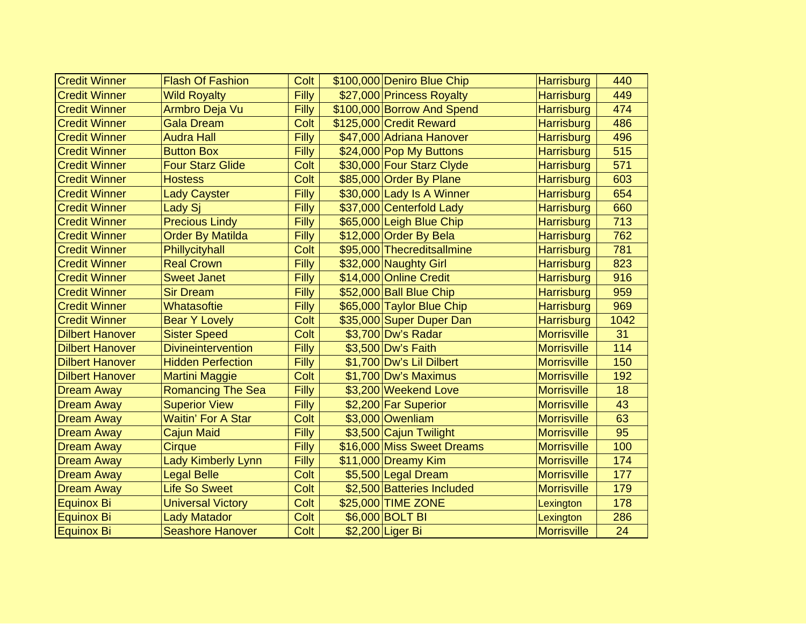| <b>Credit Winner</b>   | <b>Flash Of Fashion</b>   | Colt  | \$100,000 Deniro Blue Chip | <b>Harrisburg</b>  | 440  |
|------------------------|---------------------------|-------|----------------------------|--------------------|------|
| <b>Credit Winner</b>   | <b>Wild Royalty</b>       | Filly | \$27,000 Princess Royalty  | <b>Harrisburg</b>  | 449  |
| <b>Credit Winner</b>   | Armbro Deja Vu            | Filly | \$100,000 Borrow And Spend | <b>Harrisburg</b>  | 474  |
| <b>Credit Winner</b>   | <b>Gala Dream</b>         | Colt  | \$125,000 Credit Reward    | <b>Harrisburg</b>  | 486  |
| <b>Credit Winner</b>   | <b>Audra Hall</b>         | Filly | \$47,000 Adriana Hanover   | <b>Harrisburg</b>  | 496  |
| <b>Credit Winner</b>   | <b>Button Box</b>         | Filly | \$24,000 Pop My Buttons    | <b>Harrisburg</b>  | 515  |
| <b>Credit Winner</b>   | <b>Four Starz Glide</b>   | Colt  | \$30,000 Four Starz Clyde  | <b>Harrisburg</b>  | 571  |
| <b>Credit Winner</b>   | <b>Hostess</b>            | Colt  | \$85,000 Order By Plane    | <b>Harrisburg</b>  | 603  |
| <b>Credit Winner</b>   | <b>Lady Cayster</b>       | Filly | \$30,000 Lady Is A Winner  | <b>Harrisburg</b>  | 654  |
| <b>Credit Winner</b>   | Lady Si                   | Filly | \$37,000 Centerfold Lady   | <b>Harrisburg</b>  | 660  |
| <b>Credit Winner</b>   | <b>Precious Lindy</b>     | Filly | \$65,000 Leigh Blue Chip   | <b>Harrisburg</b>  | 713  |
| <b>Credit Winner</b>   | <b>Order By Matilda</b>   | Filly | \$12,000 Order By Bela     | <b>Harrisburg</b>  | 762  |
| <b>Credit Winner</b>   | Phillycityhall            | Colt  | \$95,000 Thecreditsallmine | <b>Harrisburg</b>  | 781  |
| <b>Credit Winner</b>   | <b>Real Crown</b>         | Filly | \$32,000 Naughty Girl      | <b>Harrisburg</b>  | 823  |
| <b>Credit Winner</b>   | <b>Sweet Janet</b>        | Filly | \$14,000 Online Credit     | <b>Harrisburg</b>  | 916  |
| <b>Credit Winner</b>   | <b>Sir Dream</b>          | Filly | \$52,000 Ball Blue Chip    | <b>Harrisburg</b>  | 959  |
| <b>Credit Winner</b>   | Whatasoftie               | Filly | \$65,000 Taylor Blue Chip  | <b>Harrisburg</b>  | 969  |
| <b>Credit Winner</b>   | <b>Bear Y Lovely</b>      | Colt  | \$35,000 Super Duper Dan   | <b>Harrisburg</b>  | 1042 |
| <b>Dilbert Hanover</b> | <b>Sister Speed</b>       | Colt  | \$3,700 Dw's Radar         | <b>Morrisville</b> | 31   |
| <b>Dilbert Hanover</b> | <b>Divineintervention</b> | Filly | \$3,500 Dw's Faith         | <b>Morrisville</b> | 114  |
| <b>Dilbert Hanover</b> | <b>Hidden Perfection</b>  | Filly | \$1,700 Dw's Lil Dilbert   | <b>Morrisville</b> | 150  |
| <b>Dilbert Hanover</b> | <b>Martini Maggie</b>     | Colt  | \$1,700 Dw's Maximus       | <b>Morrisville</b> | 192  |
| <b>Dream Away</b>      | <b>Romancing The Sea</b>  | Filly | \$3,200 Weekend Love       | <b>Morrisville</b> | 18   |
| <b>Dream Away</b>      | <b>Superior View</b>      | Filly | \$2,200 Far Superior       | <b>Morrisville</b> | 43   |
| <b>Dream Away</b>      | <b>Waitin' For A Star</b> | Colt  | \$3,000 Owenliam           | <b>Morrisville</b> | 63   |
| <b>Dream Away</b>      | <b>Cajun Maid</b>         | Filly | \$3,500 Cajun Twilight     | <b>Morrisville</b> | 95   |
| <b>Dream Away</b>      | Cirque                    | Filly | \$16,000 Miss Sweet Dreams | <b>Morrisville</b> | 100  |
| <b>Dream Away</b>      | <b>Lady Kimberly Lynn</b> | Filly | \$11,000 Dreamy Kim        | <b>Morrisville</b> | 174  |
| <b>Dream Away</b>      | <b>Legal Belle</b>        | Colt  | \$5,500 Legal Dream        | <b>Morrisville</b> | 177  |
| <b>Dream Away</b>      | <b>Life So Sweet</b>      | Colt  | \$2,500 Batteries Included | <b>Morrisville</b> | 179  |
| Equinox Bi             | <b>Universal Victory</b>  | Colt  | \$25,000 TIME ZONE         | Lexington          | 178  |
| <b>Equinox Bi</b>      | <b>Lady Matador</b>       | Colt  | \$6,000 BOLT BI            | Lexington          | 286  |
| <b>Equinox Bi</b>      | <b>Seashore Hanover</b>   | Colt  | \$2,200 Liger Bi           | <b>Morrisville</b> | 24   |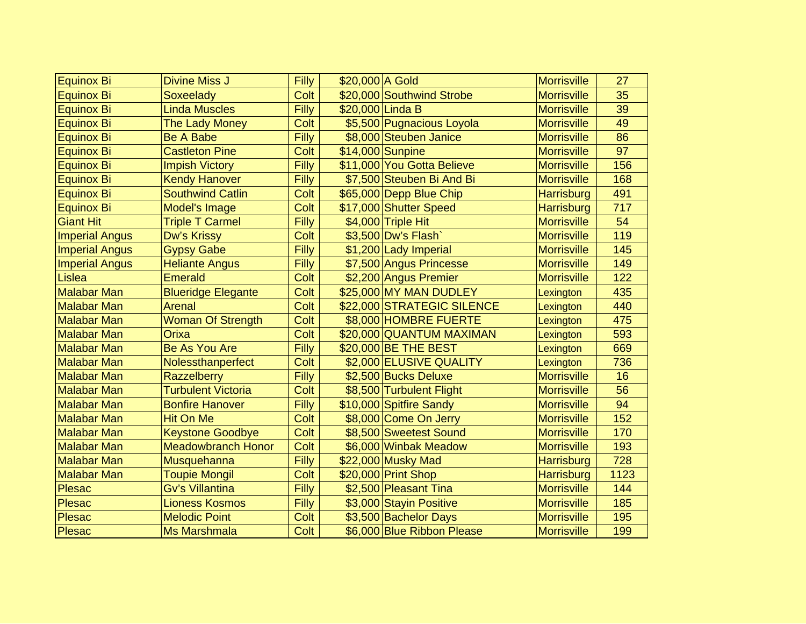| <b>Equinox Bi</b>     | <b>Divine Miss J</b>      | Filly | \$20,000 A Gold            | <b>Morrisville</b> | 27   |
|-----------------------|---------------------------|-------|----------------------------|--------------------|------|
| Equinox Bi            | Soxeelady                 | Colt  | \$20,000 Southwind Strobe  | <b>Morrisville</b> | 35   |
| <b>Equinox Bi</b>     | <b>Linda Muscles</b>      | Filly | \$20,000 Linda B           | <b>Morrisville</b> | 39   |
| <b>Equinox Bi</b>     | The Lady Money            | Colt  | \$5,500 Pugnacious Loyola  | <b>Morrisville</b> | 49   |
| Equinox Bi            | <b>Be A Babe</b>          | Filly | \$8,000 Steuben Janice     | <b>Morrisville</b> | 86   |
| Equinox Bi            | <b>Castleton Pine</b>     | Colt  | \$14,000 Sunpine           | <b>Morrisville</b> | 97   |
| <b>Equinox Bi</b>     | <b>Impish Victory</b>     | Filly | \$11,000 You Gotta Believe | <b>Morrisville</b> | 156  |
| Equinox Bi            | <b>Kendy Hanover</b>      | Filly | \$7,500 Steuben Bi And Bi  | <b>Morrisville</b> | 168  |
| Equinox Bi            | <b>Southwind Catlin</b>   | Colt  | \$65,000 Depp Blue Chip    | <b>Harrisburg</b>  | 491  |
| Equinox Bi            | Model's Image             | Colt  | \$17,000 Shutter Speed     | <b>Harrisburg</b>  | 717  |
| <b>Giant Hit</b>      | <b>Triple T Carmel</b>    | Filly | \$4,000 Triple Hit         | <b>Morrisville</b> | 54   |
| <b>Imperial Angus</b> | Dw's Krissy               | Colt  | \$3,500 Dw's Flash         | <b>Morrisville</b> | 119  |
| <b>Imperial Angus</b> | <b>Gypsy Gabe</b>         | Filly | \$1,200 Lady Imperial      | <b>Morrisville</b> | 145  |
| <b>Imperial Angus</b> | <b>Heliante Angus</b>     | Filly | \$7,500 Angus Princesse    | <b>Morrisville</b> | 149  |
| Lislea                | <b>Emerald</b>            | Colt  | \$2,200 Angus Premier      | <b>Morrisville</b> | 122  |
| <b>Malabar Man</b>    | <b>Blueridge Elegante</b> | Colt  | \$25,000 MY MAN DUDLEY     | Lexington          | 435  |
| <b>Malabar Man</b>    | <b>Arenal</b>             | Colt  | \$22,000 STRATEGIC SILENCE | Lexington          | 440  |
| <b>Malabar Man</b>    | <b>Woman Of Strength</b>  | Colt  | \$8,000 HOMBRE FUERTE      | Lexington          | 475  |
| <b>Malabar Man</b>    | Orixa                     | Colt  | \$20,000 QUANTUM MAXIMAN   | Lexington          | 593  |
| <b>Malabar Man</b>    | <b>Be As You Are</b>      | Filly | \$20,000 BE THE BEST       | Lexington          | 669  |
| <b>Malabar Man</b>    | Nolessthanperfect         | Colt  | \$2,000 ELUSIVE QUALITY    | Lexington          | 736  |
| <b>Malabar Man</b>    | <b>Razzelberry</b>        | Filly | \$2,500 Bucks Deluxe       | <b>Morrisville</b> | 16   |
| <b>Malabar Man</b>    | <b>Turbulent Victoria</b> | Colt  | \$8,500 Turbulent Flight   | <b>Morrisville</b> | 56   |
| <b>Malabar Man</b>    | <b>Bonfire Hanover</b>    | Filly | \$10,000 Spitfire Sandy    | <b>Morrisville</b> | 94   |
| <b>Malabar Man</b>    | <b>Hit On Me</b>          | Colt  | \$8,000 Come On Jerry      | <b>Morrisville</b> | 152  |
| <b>Malabar Man</b>    | <b>Keystone Goodbye</b>   | Colt  | \$8,500 Sweetest Sound     | <b>Morrisville</b> | 170  |
| <b>Malabar Man</b>    | <b>Meadowbranch Honor</b> | Colt  | \$6,000 Winbak Meadow      | <b>Morrisville</b> | 193  |
| <b>Malabar Man</b>    | Musquehanna               | Filly | \$22,000 Musky Mad         | <b>Harrisburg</b>  | 728  |
| <b>Malabar Man</b>    | <b>Toupie Mongil</b>      | Colt  | \$20,000 Print Shop        | <b>Harrisburg</b>  | 1123 |
| Plesac                | <b>Gv's Villantina</b>    | Filly | \$2,500 Pleasant Tina      | <b>Morrisville</b> | 144  |
| Plesac                | <b>Lioness Kosmos</b>     | Filly | \$3,000 Stayin Positive    | <b>Morrisville</b> | 185  |
| Plesac                | <b>Melodic Point</b>      | Colt  | \$3,500 Bachelor Days      | <b>Morrisville</b> | 195  |
| Plesac                | <b>Ms Marshmala</b>       | Colt  | \$6,000 Blue Ribbon Please | <b>Morrisville</b> | 199  |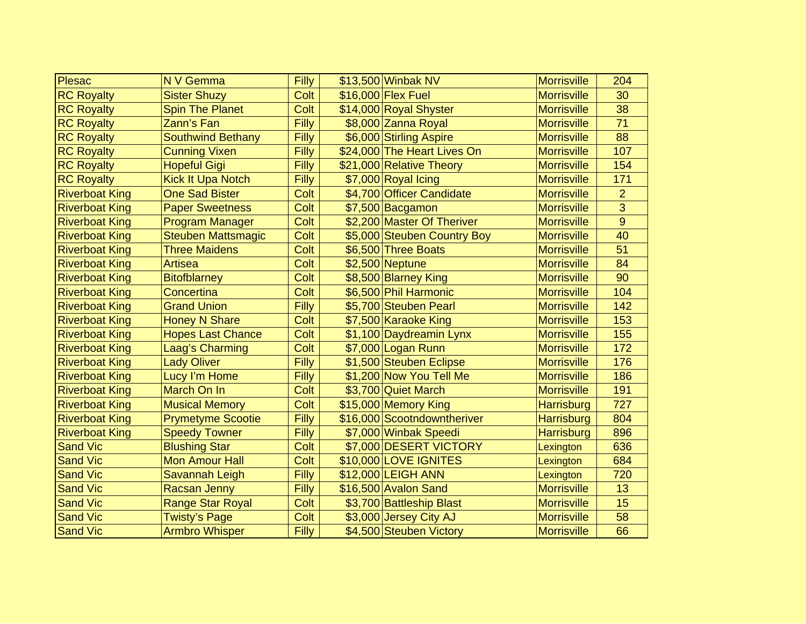| Plesac                | N V Gemma                 | Filly | \$13,500 Winbak NV          | <b>Morrisville</b> | 204            |
|-----------------------|---------------------------|-------|-----------------------------|--------------------|----------------|
| <b>RC Royalty</b>     | <b>Sister Shuzy</b>       | Colt  | \$16,000 Flex Fuel          | <b>Morrisville</b> | 30             |
| <b>RC Royalty</b>     | <b>Spin The Planet</b>    | Colt  | \$14,000 Royal Shyster      | <b>Morrisville</b> | 38             |
| <b>RC Royalty</b>     | Zann's Fan                | Filly | \$8,000 Zanna Royal         | <b>Morrisville</b> | 71             |
| <b>RC Royalty</b>     | <b>Southwind Bethany</b>  | Filly | \$6,000 Stirling Aspire     | <b>Morrisville</b> | 88             |
| <b>RC Royalty</b>     | <b>Cunning Vixen</b>      | Filly | \$24,000 The Heart Lives On | <b>Morrisville</b> | 107            |
| <b>RC Royalty</b>     | <b>Hopeful Gigi</b>       | Filly | \$21,000 Relative Theory    | <b>Morrisville</b> | 154            |
| <b>RC Royalty</b>     | Kick It Upa Notch         | Filly | \$7,000 Royal Icing         | <b>Morrisville</b> | 171            |
| <b>Riverboat King</b> | <b>One Sad Bister</b>     | Colt  | \$4,700 Officer Candidate   | <b>Morrisville</b> | $\overline{2}$ |
| <b>Riverboat King</b> | <b>Paper Sweetness</b>    | Colt  | \$7,500 Bacgamon            | <b>Morrisville</b> | 3              |
| <b>Riverboat King</b> | <b>Program Manager</b>    | Colt  | \$2,200 Master Of Theriver  | <b>Morrisville</b> | 9              |
| <b>Riverboat King</b> | <b>Steuben Mattsmagic</b> | Colt  | \$5,000 Steuben Country Boy | <b>Morrisville</b> | 40             |
| <b>Riverboat King</b> | <b>Three Maidens</b>      | Colt  | \$6,500 Three Boats         | <b>Morrisville</b> | 51             |
| <b>Riverboat King</b> | <b>Artisea</b>            | Colt  | \$2,500 Neptune             | <b>Morrisville</b> | 84             |
| <b>Riverboat King</b> | <b>Bitofblarney</b>       | Colt  | \$8,500 Blarney King        | <b>Morrisville</b> | 90             |
| <b>Riverboat King</b> | Concertina                | Colt  | \$6,500 Phil Harmonic       | <b>Morrisville</b> | 104            |
| <b>Riverboat King</b> | <b>Grand Union</b>        | Filly | \$5,700 Steuben Pearl       | <b>Morrisville</b> | 142            |
| <b>Riverboat King</b> | <b>Honey N Share</b>      | Colt  | \$7,500 Karaoke King        | <b>Morrisville</b> | 153            |
| <b>Riverboat King</b> | <b>Hopes Last Chance</b>  | Colt  | \$1,100 Daydreamin Lynx     | <b>Morrisville</b> | 155            |
| <b>Riverboat King</b> | Laag's Charming           | Colt  | \$7,000 Logan Runn          | <b>Morrisville</b> | 172            |
| <b>Riverboat King</b> | <b>Lady Oliver</b>        | Filly | \$1,500 Steuben Eclipse     | <b>Morrisville</b> | 176            |
| <b>Riverboat King</b> | Lucy I'm Home             | Filly | \$1,200 Now You Tell Me     | <b>Morrisville</b> | 186            |
| <b>Riverboat King</b> | March On In               | Colt  | \$3,700 Quiet March         | <b>Morrisville</b> | 191            |
| <b>Riverboat King</b> | <b>Musical Memory</b>     | Colt  | \$15,000 Memory King        | <b>Harrisburg</b>  | 727            |
| <b>Riverboat King</b> | <b>Prymetyme Scootie</b>  | Filly | \$16,000 Scootndowntheriver | <b>Harrisburg</b>  | 804            |
| <b>Riverboat King</b> | <b>Speedy Towner</b>      | Filly | \$7,000 Winbak Speedi       | <b>Harrisburg</b>  | 896            |
| <b>Sand Vic</b>       | <b>Blushing Star</b>      | Colt  | \$7,000 DESERT VICTORY      | Lexington          | 636            |
| <b>Sand Vic</b>       | <b>Mon Amour Hall</b>     | Colt  | \$10,000 LOVE IGNITES       | Lexington          | 684            |
| <b>Sand Vic</b>       | Savannah Leigh            | Filly | \$12,000 LEIGH ANN          | Lexington          | 720            |
| <b>Sand Vic</b>       | <b>Racsan Jenny</b>       | Filly | \$16,500 Avalon Sand        | <b>Morrisville</b> | 13             |
| <b>Sand Vic</b>       | <b>Range Star Royal</b>   | Colt  | \$3,700 Battleship Blast    | <b>Morrisville</b> | 15             |
| <b>Sand Vic</b>       | <b>Twisty's Page</b>      | Colt  | \$3,000 Jersey City AJ      | <b>Morrisville</b> | 58             |
| <b>Sand Vic</b>       | <b>Armbro Whisper</b>     | Filly | \$4,500 Steuben Victory     | <b>Morrisville</b> | 66             |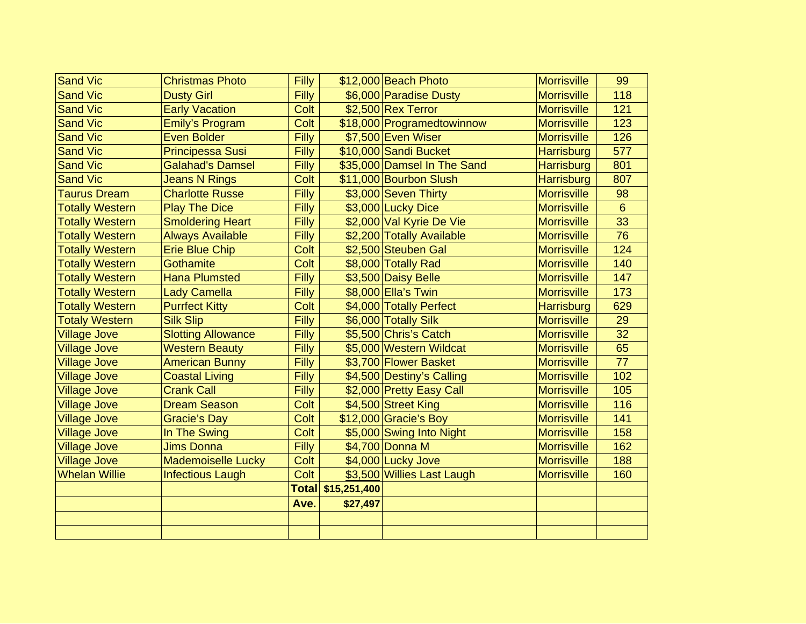| <b>Sand Vic</b>        | <b>Christmas Photo</b>    | Filly        |              | \$12,000 Beach Photo        | <b>Morrisville</b> | 99             |
|------------------------|---------------------------|--------------|--------------|-----------------------------|--------------------|----------------|
| <b>Sand Vic</b>        | <b>Dusty Girl</b>         | Filly        |              | \$6,000 Paradise Dusty      | <b>Morrisville</b> | 118            |
| <b>Sand Vic</b>        | <b>Early Vacation</b>     | Colt         |              | \$2,500 Rex Terror          | <b>Morrisville</b> | 121            |
| <b>Sand Vic</b>        | Emily's Program           | Colt         |              | \$18,000 Programedtowinnow  | <b>Morrisville</b> | 123            |
| <b>Sand Vic</b>        | <b>Even Bolder</b>        | Filly        |              | \$7,500 Even Wiser          | <b>Morrisville</b> | 126            |
| <b>Sand Vic</b>        | <b>Principessa Susi</b>   | Filly        |              | \$10,000 Sandi Bucket       | <b>Harrisburg</b>  | 577            |
| <b>Sand Vic</b>        | <b>Galahad's Damsel</b>   | Filly        |              | \$35,000 Damsel In The Sand | <b>Harrisburg</b>  | 801            |
| <b>Sand Vic</b>        | <b>Jeans N Rings</b>      | Colt         |              | \$11,000 Bourbon Slush      | <b>Harrisburg</b>  | 807            |
| <b>Taurus Dream</b>    | <b>Charlotte Russe</b>    | Filly        |              | \$3,000 Seven Thirty        | <b>Morrisville</b> | 98             |
| <b>Totally Western</b> | <b>Play The Dice</b>      | Filly        |              | \$3,000 Lucky Dice          | <b>Morrisville</b> | $6\phantom{1}$ |
| <b>Totally Western</b> | <b>Smoldering Heart</b>   | Filly        |              | \$2,000 Val Kyrie De Vie    | <b>Morrisville</b> | 33             |
| <b>Totally Western</b> | <b>Always Available</b>   | Filly        |              | \$2,200 Totally Available   | <b>Morrisville</b> | 76             |
| <b>Totally Western</b> | <b>Erie Blue Chip</b>     | Colt         |              | \$2,500 Steuben Gal         | <b>Morrisville</b> | 124            |
| <b>Totally Western</b> | <b>Gothamite</b>          | Colt         |              | \$8,000 Totally Rad         | <b>Morrisville</b> | 140            |
| <b>Totally Western</b> | <b>Hana Plumsted</b>      | Filly        |              | \$3,500 Daisy Belle         | <b>Morrisville</b> | 147            |
| <b>Totally Western</b> | <b>Lady Camella</b>       | Filly        |              | \$8,000 Ella's Twin         | <b>Morrisville</b> | 173            |
| <b>Totally Western</b> | <b>Purrfect Kitty</b>     | Colt         |              | \$4,000 Totally Perfect     | <b>Harrisburg</b>  | 629            |
| <b>Totaly Western</b>  | <b>Silk Slip</b>          | Filly        |              | \$6,000 Totally Silk        | <b>Morrisville</b> | 29             |
| <b>Village Jove</b>    | <b>Slotting Allowance</b> | Filly        |              | \$5,500 Chris's Catch       | <b>Morrisville</b> | 32             |
| <b>Village Jove</b>    | <b>Western Beauty</b>     | Filly        |              | \$5,000 Western Wildcat     | <b>Morrisville</b> | 65             |
| <b>Village Jove</b>    | <b>American Bunny</b>     | Filly        |              | \$3,700 Flower Basket       | <b>Morrisville</b> | 77             |
| <b>Village Jove</b>    | <b>Coastal Living</b>     | Filly        |              | \$4,500 Destiny's Calling   | <b>Morrisville</b> | 102            |
| <b>Village Jove</b>    | <b>Crank Call</b>         | Filly        |              | \$2,000 Pretty Easy Call    | <b>Morrisville</b> | 105            |
| <b>Village Jove</b>    | <b>Dream Season</b>       | Colt         |              | \$4,500 Street King         | <b>Morrisville</b> | 116            |
| <b>Village Jove</b>    | <b>Gracie's Day</b>       | Colt         |              | $$12,000$ Gracie's Boy      | <b>Morrisville</b> | 141            |
| <b>Village Jove</b>    | In The Swing              | Colt         |              | \$5,000 Swing Into Night    | <b>Morrisville</b> | 158            |
| <b>Village Jove</b>    | <b>Jims Donna</b>         | Filly        |              | \$4,700 Donna M             | <b>Morrisville</b> | 162            |
| <b>Village Jove</b>    | <b>Mademoiselle Lucky</b> | Colt         |              | \$4,000 Lucky Jove          | <b>Morrisville</b> | 188            |
| <b>Whelan Willie</b>   | <b>Infectious Laugh</b>   | Colt         |              | \$3,500 Willies Last Laugh  | <b>Morrisville</b> | 160            |
|                        |                           | <b>Total</b> | \$15,251,400 |                             |                    |                |
|                        |                           | Ave.         | \$27,497     |                             |                    |                |
|                        |                           |              |              |                             |                    |                |
|                        |                           |              |              |                             |                    |                |